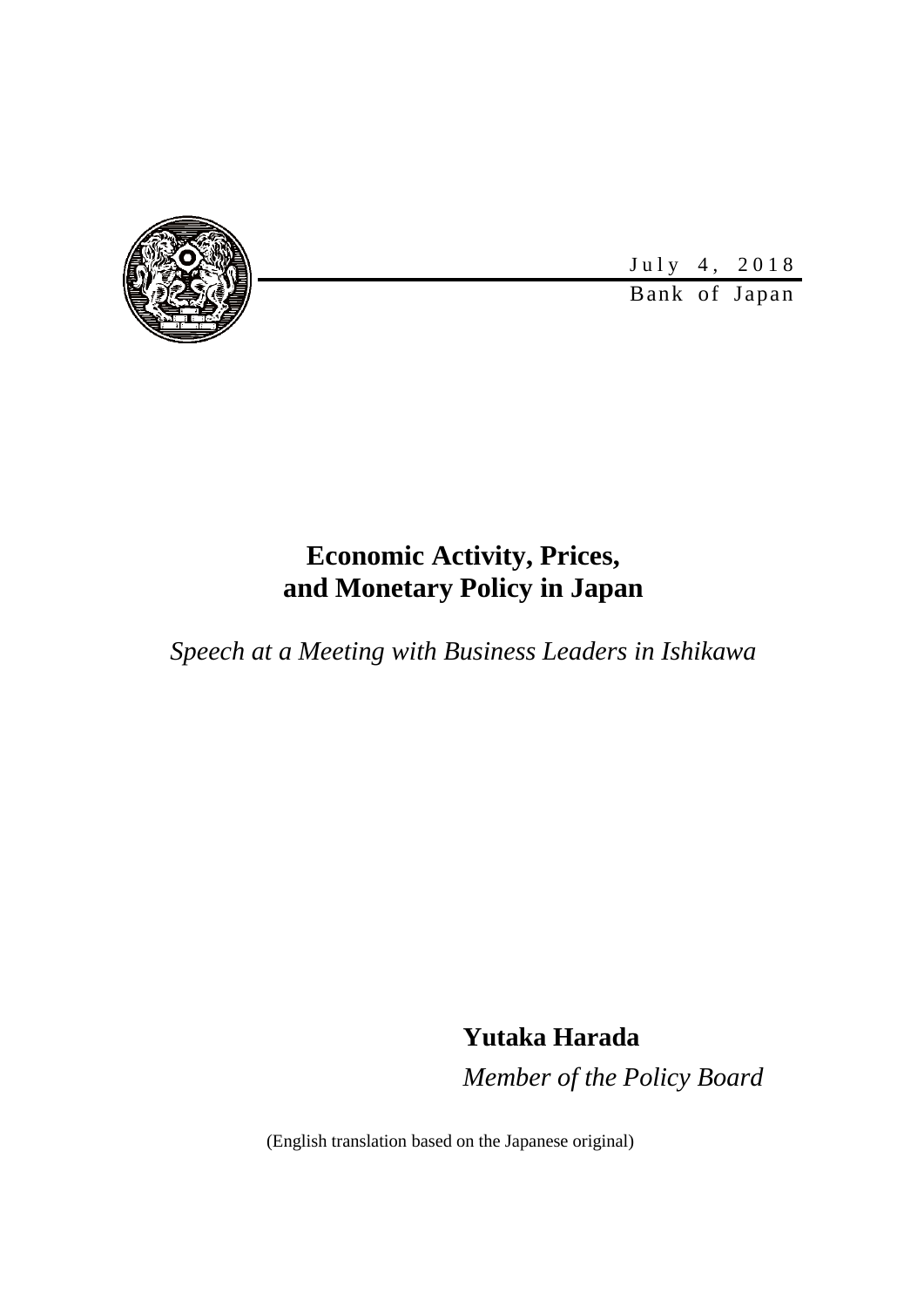

July 4, 2018

Bank of Japan

# **Economic Activity, Prices, and Monetary Policy in Japan**

*Speech at a Meeting with Business Leaders in Ishikawa*

**Yutaka Harada**

*Member of the Policy Board*

(English translation based on the Japanese original)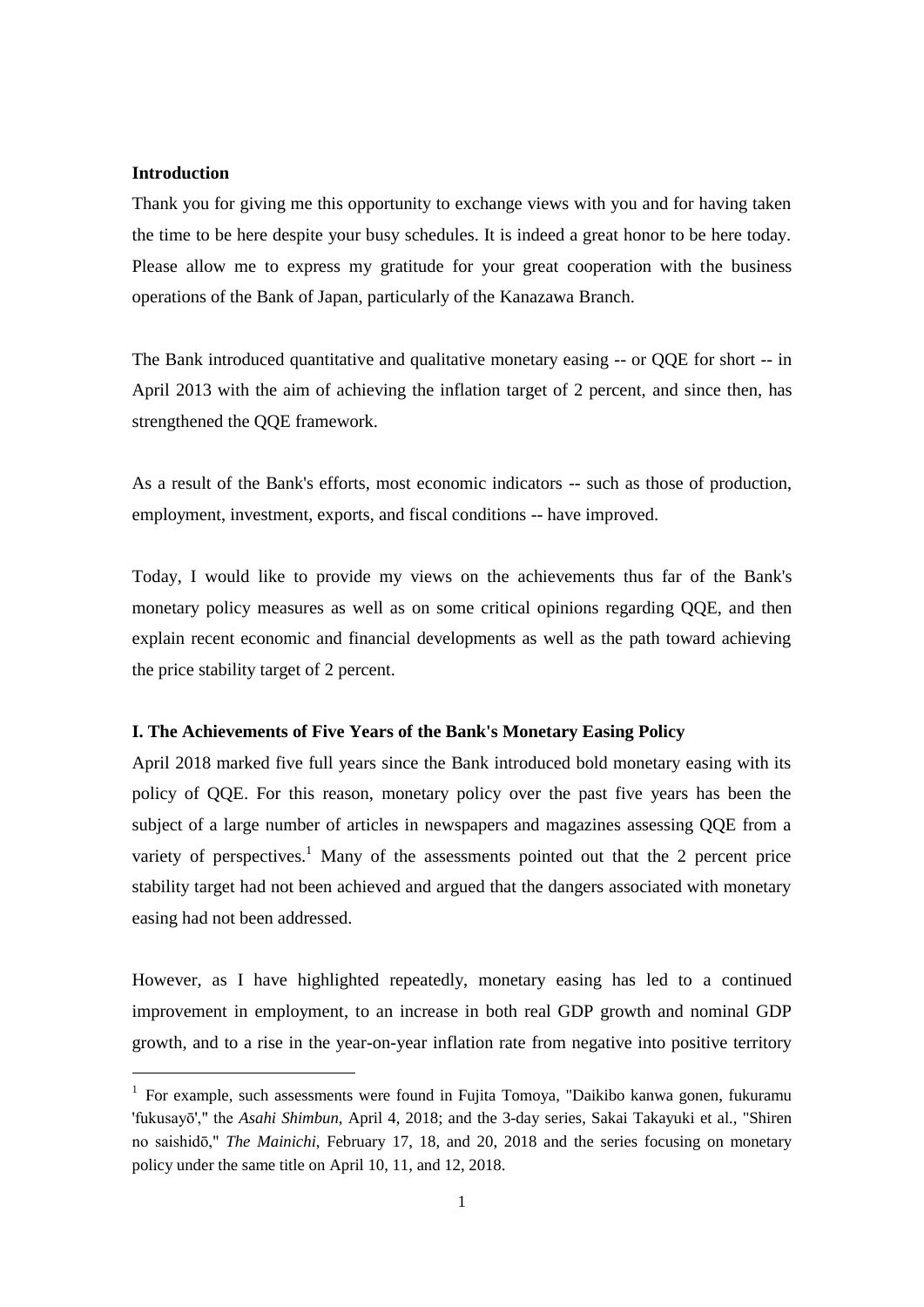#### **Introduction**

1

Thank you for giving me this opportunity to exchange views with you and for having taken the time to be here despite your busy schedules. It is indeed a great honor to be here today. Please allow me to express my gratitude for your great cooperation with the business operations of the Bank of Japan, particularly of the Kanazawa Branch.

The Bank introduced quantitative and qualitative monetary easing -- or QQE for short -- in April 2013 with the aim of achieving the inflation target of 2 percent, and since then, has strengthened the QQE framework.

As a result of the Bank's efforts, most economic indicators -- such as those of production, employment, investment, exports, and fiscal conditions -- have improved.

Today, I would like to provide my views on the achievements thus far of the Bank's monetary policy measures as well as on some critical opinions regarding QQE, and then explain recent economic and financial developments as well as the path toward achieving the price stability target of 2 percent.

# **I. The Achievements of Five Years of the Bank's Monetary Easing Policy**

April 2018 marked five full years since the Bank introduced bold monetary easing with its policy of QQE. For this reason, monetary policy over the past five years has been the subject of a large number of articles in newspapers and magazines assessing QQE from a variety of perspectives.<sup>1</sup> Many of the assessments pointed out that the 2 percent price stability target had not been achieved and argued that the dangers associated with monetary easing had not been addressed.

However, as I have highlighted repeatedly, monetary easing has led to a continued improvement in employment, to an increase in both real GDP growth and nominal GDP growth, and to a rise in the year-on-year inflation rate from negative into positive territory

<sup>&</sup>lt;sup>1</sup> For example, such assessments were found in Fujita Tomoya, "Daikibo kanwa gonen, fukuramu 'fukusayō'," the *Asahi Shimbun*, April 4, 2018; and the 3-day series, Sakai Takayuki et al., "Shiren no saishidō," *The Mainichi*, February 17, 18, and 20, 2018 and the series focusing on monetary policy under the same title on April 10, 11, and 12, 2018.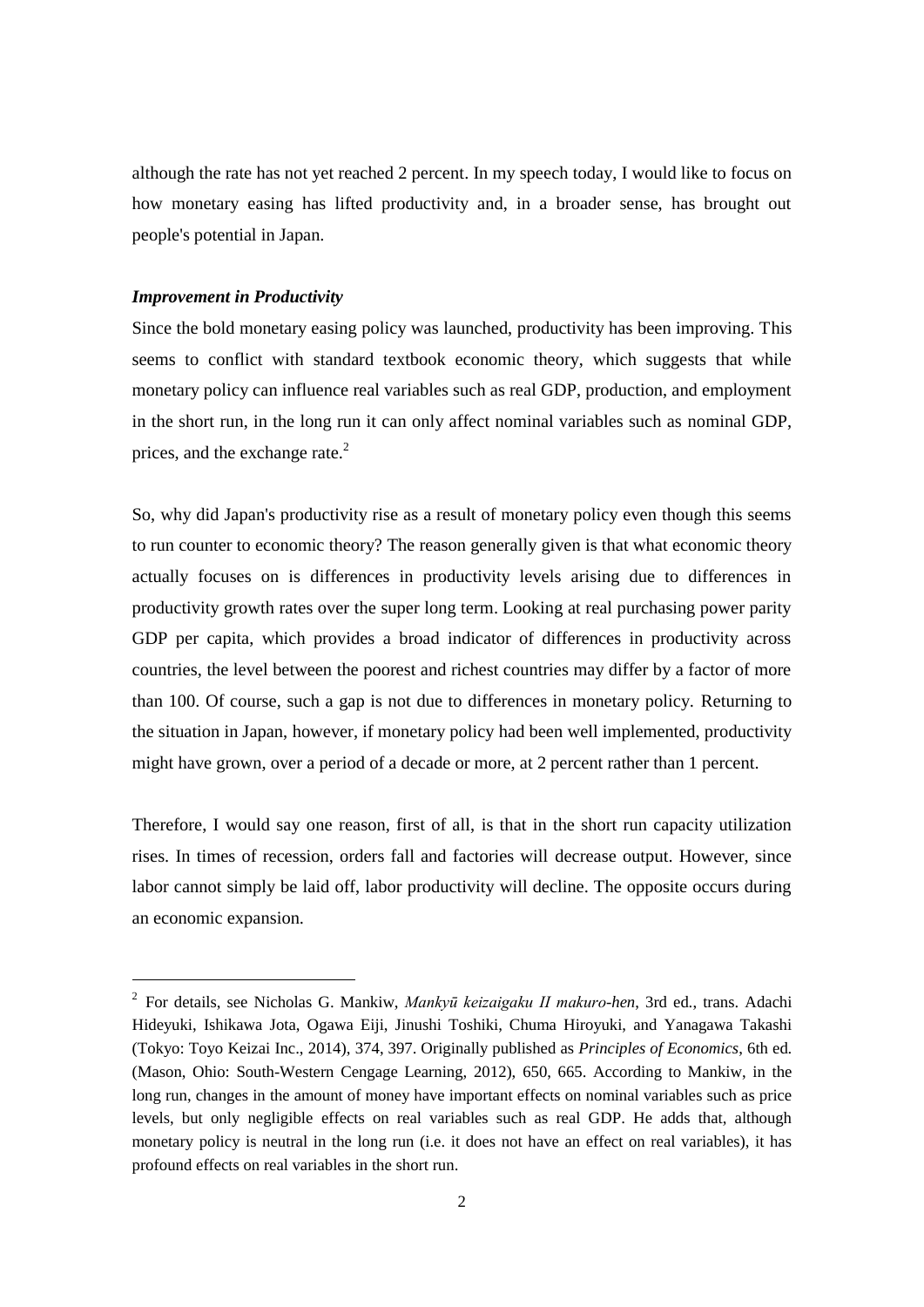although the rate has not yet reached 2 percent. In my speech today, I would like to focus on how monetary easing has lifted productivity and, in a broader sense, has brought out people's potential in Japan.

## *Improvement in Productivity*

1

Since the bold monetary easing policy was launched, productivity has been improving. This seems to conflict with standard textbook economic theory, which suggests that while monetary policy can influence real variables such as real GDP, production, and employment in the short run, in the long run it can only affect nominal variables such as nominal GDP, prices, and the exchange rate. $^{2}$ 

So, why did Japan's productivity rise as a result of monetary policy even though this seems to run counter to economic theory? The reason generally given is that what economic theory actually focuses on is differences in productivity levels arising due to differences in productivity growth rates over the super long term. Looking at real purchasing power parity GDP per capita, which provides a broad indicator of differences in productivity across countries, the level between the poorest and richest countries may differ by a factor of more than 100. Of course, such a gap is not due to differences in monetary policy. Returning to the situation in Japan, however, if monetary policy had been well implemented, productivity might have grown, over a period of a decade or more, at 2 percent rather than 1 percent.

Therefore, I would say one reason, first of all, is that in the short run capacity utilization rises. In times of recession, orders fall and factories will decrease output. However, since labor cannot simply be laid off, labor productivity will decline. The opposite occurs during an economic expansion.

<sup>2</sup> For details, see Nicholas G. Mankiw, *Mankyū keizaigaku II makuro-hen*, 3rd ed., trans. Adachi Hideyuki, Ishikawa Jota, Ogawa Eiji, Jinushi Toshiki, Chuma Hiroyuki, and Yanagawa Takashi (Tokyo: Toyo Keizai Inc., 2014), 374, 397. Originally published as *Principles of Economics*, 6th ed. (Mason, Ohio: South-Western Cengage Learning, 2012), 650, 665. According to Mankiw, in the long run, changes in the amount of money have important effects on nominal variables such as price levels, but only negligible effects on real variables such as real GDP. He adds that, although monetary policy is neutral in the long run (i.e. it does not have an effect on real variables), it has profound effects on real variables in the short run.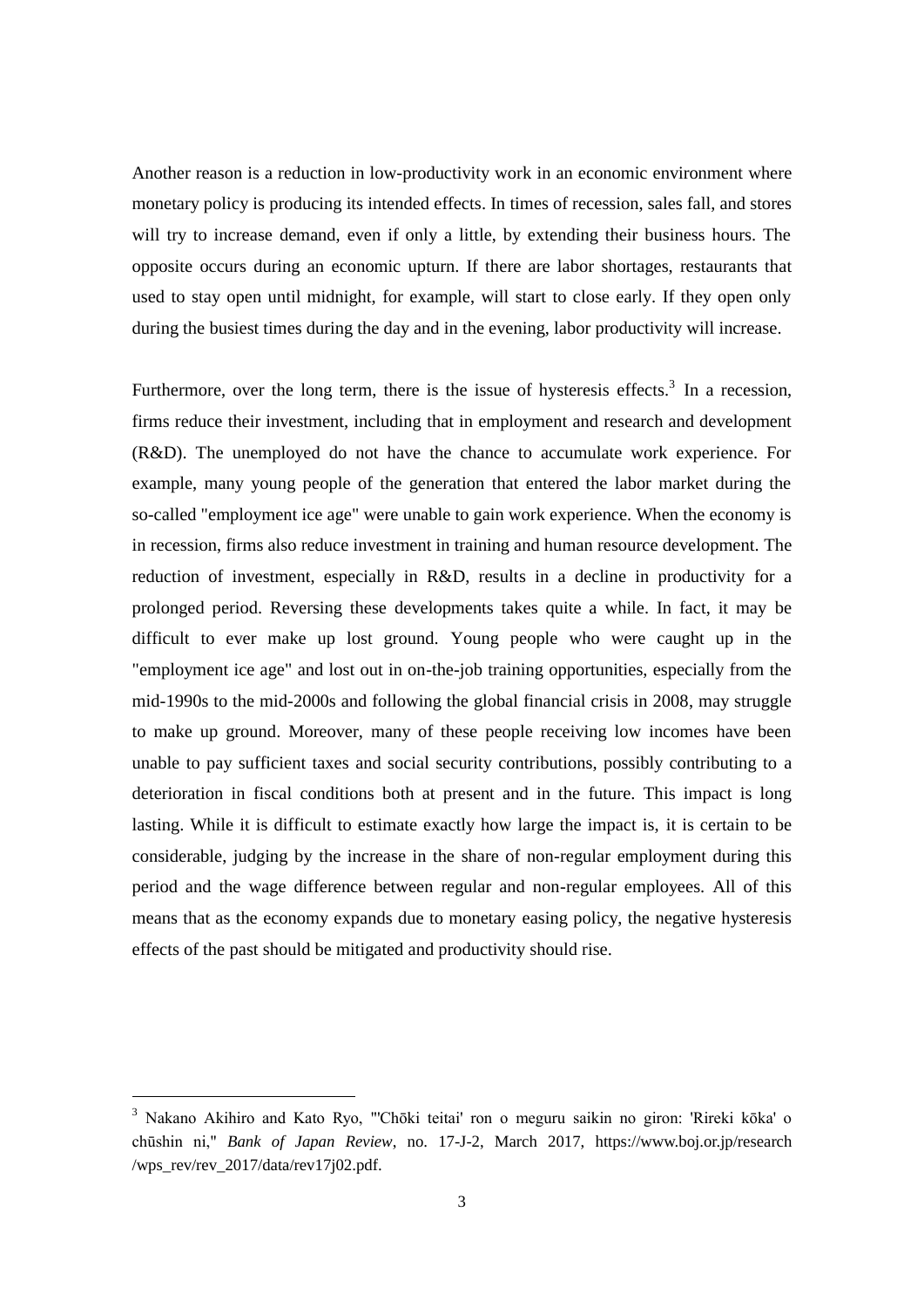Another reason is a reduction in low-productivity work in an economic environment where monetary policy is producing its intended effects. In times of recession, sales fall, and stores will try to increase demand, even if only a little, by extending their business hours. The opposite occurs during an economic upturn. If there are labor shortages, restaurants that used to stay open until midnight, for example, will start to close early. If they open only during the busiest times during the day and in the evening, labor productivity will increase.

Furthermore, over the long term, there is the issue of hysteresis effects.<sup>3</sup> In a recession, firms reduce their investment, including that in employment and research and development (R&D). The unemployed do not have the chance to accumulate work experience. For example, many young people of the generation that entered the labor market during the so-called "employment ice age" were unable to gain work experience. When the economy is in recession, firms also reduce investment in training and human resource development. The reduction of investment, especially in R&D, results in a decline in productivity for a prolonged period. Reversing these developments takes quite a while. In fact, it may be difficult to ever make up lost ground. Young people who were caught up in the "employment ice age" and lost out in on-the-job training opportunities, especially from the mid-1990s to the mid-2000s and following the global financial crisis in 2008, may struggle to make up ground. Moreover, many of these people receiving low incomes have been unable to pay sufficient taxes and social security contributions, possibly contributing to a deterioration in fiscal conditions both at present and in the future. This impact is long lasting. While it is difficult to estimate exactly how large the impact is, it is certain to be considerable, judging by the increase in the share of non-regular employment during this period and the wage difference between regular and non-regular employees. All of this means that as the economy expands due to monetary easing policy, the negative hysteresis effects of the past should be mitigated and productivity should rise.

<sup>3</sup> Nakano Akihiro and Kato Ryo, "'Chōki teitai' ron o meguru saikin no giron: 'Rireki kōka' o chūshin ni," *Bank of Japan Review*, no. 17-J-2, March 2017, [https://www.boj.or.jp/research](https://www.boj.or.jp/research%20/wps_rev/rev_2017/data/rev17j02.pdf)  [/wps\\_rev/rev\\_2017/data/rev17j02.pdf.](https://www.boj.or.jp/research%20/wps_rev/rev_2017/data/rev17j02.pdf)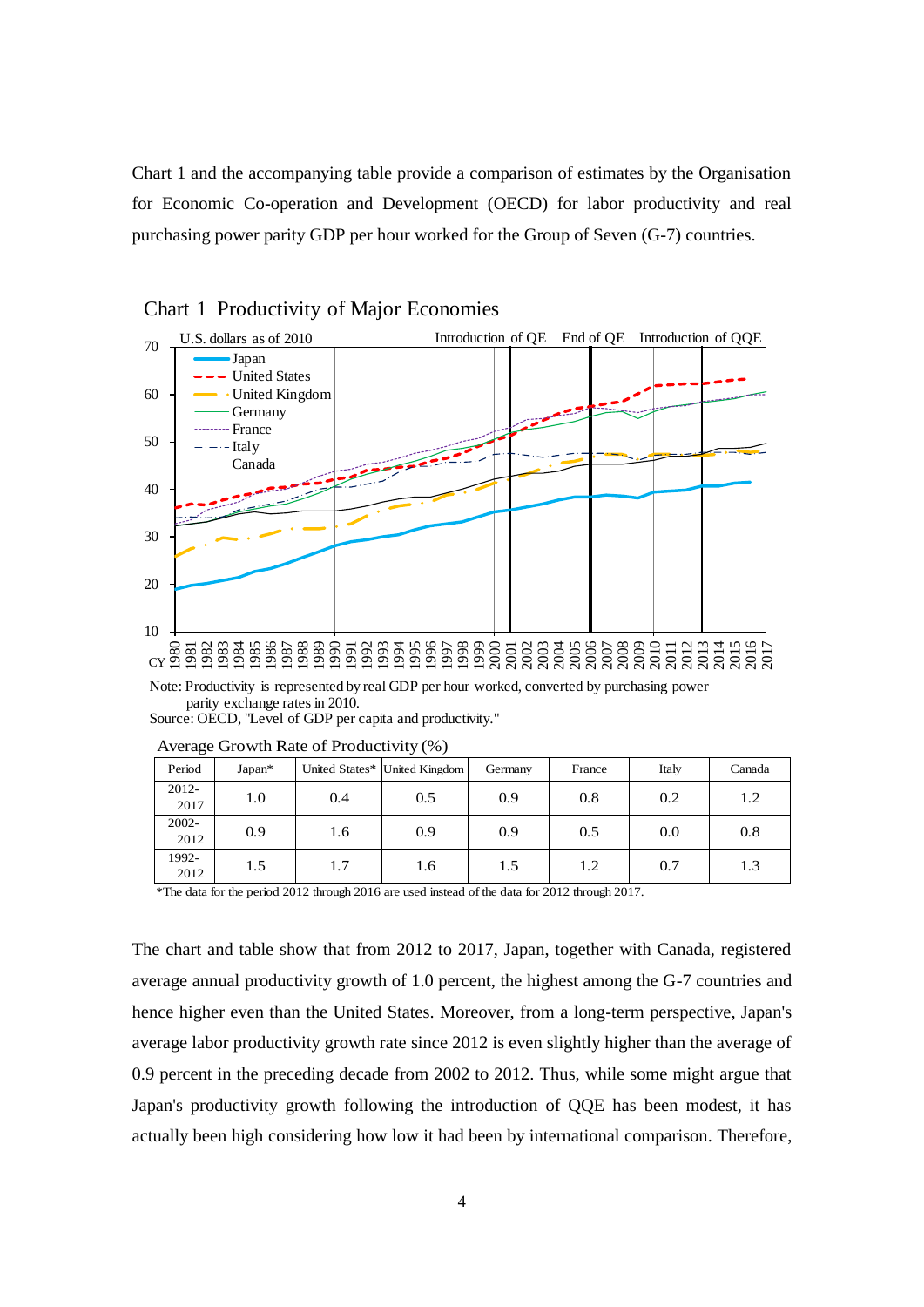Chart 1 and the accompanying table provide a comparison of estimates by the Organisation for Economic Co-operation and Development (OECD) for labor productivity and real purchasing power parity GDP per hour worked for the Group of Seven (G-7) countries.



Chart 1 Productivity of Major Economies

Note: Productivity is represented by real GDP per hour worked, converted by purchasing power parity exchange rates in 2010. Source: OECD, "Level of GDP per capita and productivity."

|  | ັ                |          |     |                               |         |        |       |        |
|--|------------------|----------|-----|-------------------------------|---------|--------|-------|--------|
|  | Period           | $Japan*$ |     | United States* United Kingdom | Germany | France | Italy | Canada |
|  | $2012 -$<br>2017 | 1.0      | 0.4 | 0.5                           | 0.9     | 0.8    | 0.2   | 1.2    |
|  | $2002 -$<br>2012 | 0.9      | 1.6 | 0.9                           | 0.9     | 0.5    | 0.0   | 0.8    |
|  | 1992-<br>2012    | 1.5      | 1.7 | 1.6                           | 1.5     | 1.2    | 0.7   | 1.3    |

Average Growth Rate of Productivity (%)

\*The data for the period 2012 through 2016 are used instead of the data for 2012 through 2017.

The chart and table show that from 2012 to 2017, Japan, together with Canada, registered average annual productivity growth of 1.0 percent, the highest among the G-7 countries and hence higher even than the United States. Moreover, from a long-term perspective, Japan's average labor productivity growth rate since 2012 is even slightly higher than the average of 0.9 percent in the preceding decade from 2002 to 2012. Thus, while some might argue that Japan's productivity growth following the introduction of QQE has been modest, it has actually been high considering how low it had been by international comparison. Therefore,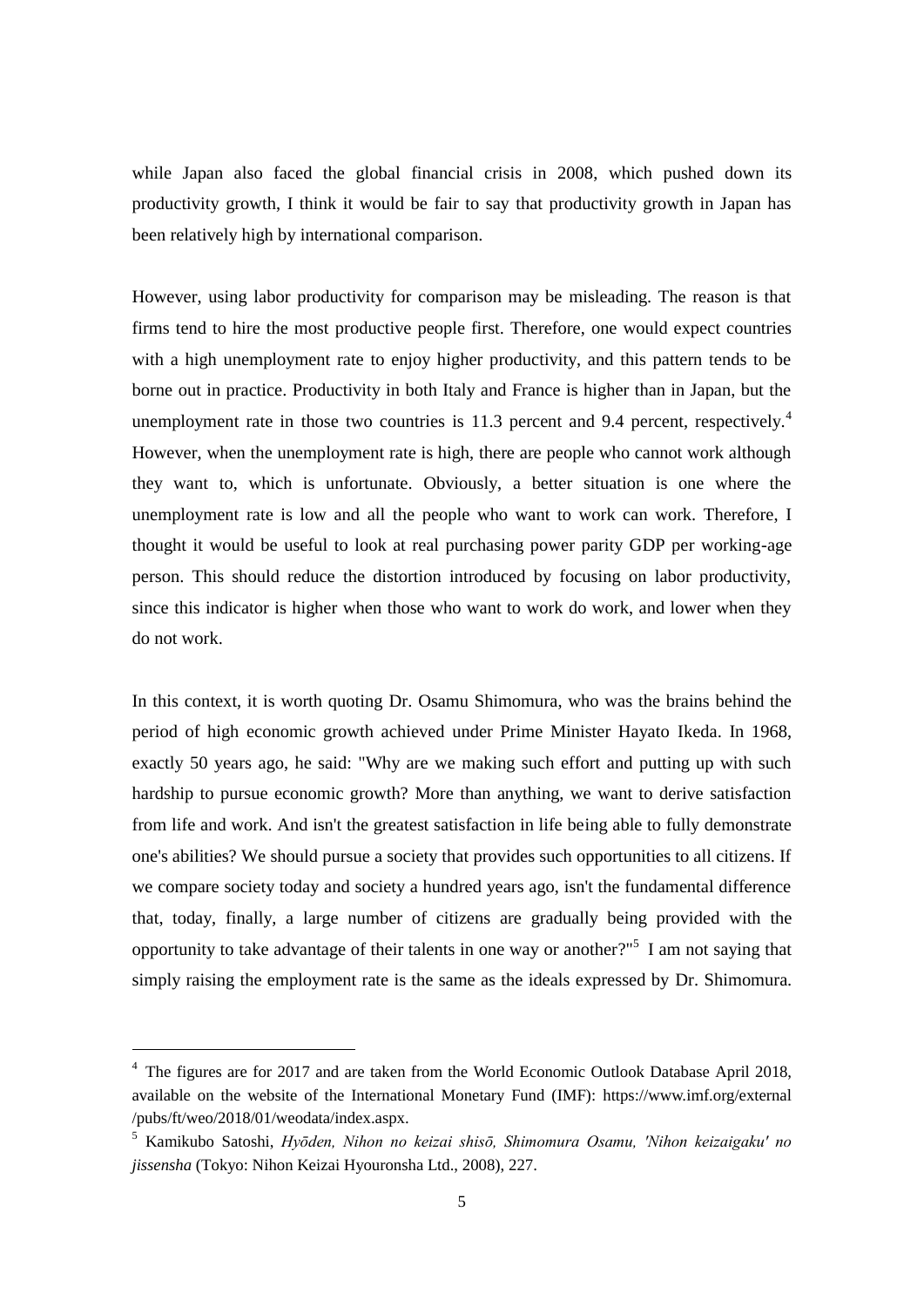while Japan also faced the global financial crisis in 2008, which pushed down its productivity growth, I think it would be fair to say that productivity growth in Japan has been relatively high by international comparison.

However, using labor productivity for comparison may be misleading. The reason is that firms tend to hire the most productive people first. Therefore, one would expect countries with a high unemployment rate to enjoy higher productivity, and this pattern tends to be borne out in practice. Productivity in both Italy and France is higher than in Japan, but the unemployment rate in those two countries is 11.3 percent and 9.4 percent, respectively.<sup>4</sup> However, when the unemployment rate is high, there are people who cannot work although they want to, which is unfortunate. Obviously, a better situation is one where the unemployment rate is low and all the people who want to work can work. Therefore, I thought it would be useful to look at real purchasing power parity GDP per working-age person. This should reduce the distortion introduced by focusing on labor productivity, since this indicator is higher when those who want to work do work, and lower when they do not work.

In this context, it is worth quoting Dr. Osamu Shimomura, who was the brains behind the period of high economic growth achieved under Prime Minister Hayato Ikeda. In 1968, exactly 50 years ago, he said: "Why are we making such effort and putting up with such hardship to pursue economic growth? More than anything, we want to derive satisfaction from life and work. And isn't the greatest satisfaction in life being able to fully demonstrate one's abilities? We should pursue a society that provides such opportunities to all citizens. If we compare society today and society a hundred years ago, isn't the fundamental difference that, today, finally, a large number of citizens are gradually being provided with the opportunity to take advantage of their talents in one way or another?"<sup>5</sup> I am not saying that simply raising the employment rate is the same as the ideals expressed by Dr. Shimomura.

<sup>&</sup>lt;sup>4</sup> The figures are for 2017 and are taken from the World Economic Outlook Database April 2018, available on the website of the International Monetary Fund (IMF):<https://www.imf.org/external> /pubs/ft/weo/2018/01/weodata/index.aspx.

<sup>5</sup> Kamikubo Satoshi, *Hyōden, Nihon no keizai shisō, Shimomura Osamu, 'Nihon keizaigaku' no jissensha* (Tokyo: Nihon Keizai Hyouronsha Ltd., 2008), 227.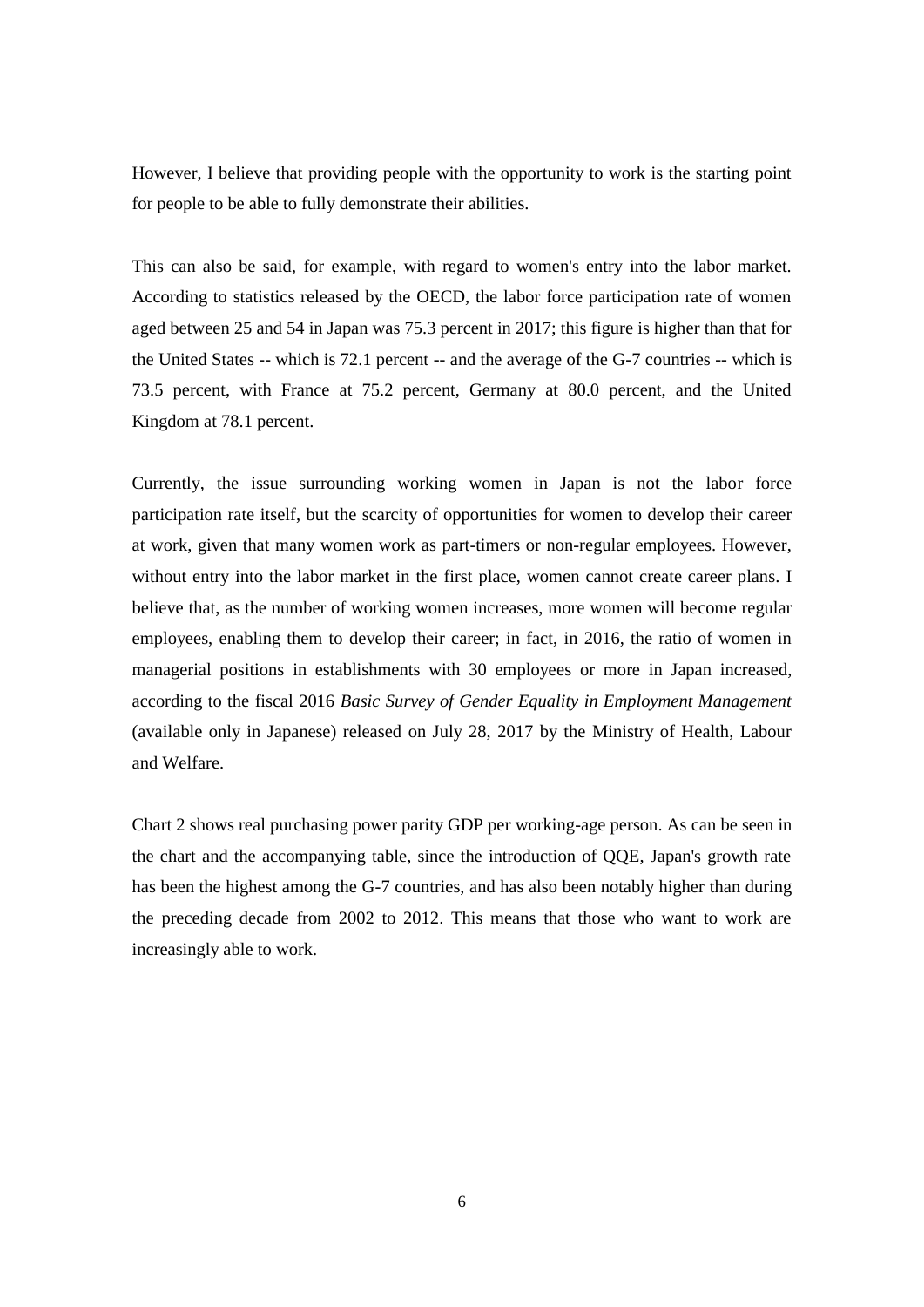However, I believe that providing people with the opportunity to work is the starting point for people to be able to fully demonstrate their abilities.

This can also be said, for example, with regard to women's entry into the labor market. According to statistics released by the OECD, the labor force participation rate of women aged between 25 and 54 in Japan was 75.3 percent in 2017; this figure is higher than that for the United States -- which is 72.1 percent -- and the average of the G-7 countries -- which is 73.5 percent, with France at 75.2 percent, Germany at 80.0 percent, and the United Kingdom at 78.1 percent.

Currently, the issue surrounding working women in Japan is not the labor force participation rate itself, but the scarcity of opportunities for women to develop their career at work, given that many women work as part-timers or non-regular employees. However, without entry into the labor market in the first place, women cannot create career plans. I believe that, as the number of working women increases, more women will become regular employees, enabling them to develop their career; in fact, in 2016, the ratio of women in managerial positions in establishments with 30 employees or more in Japan increased, according to the fiscal 2016 *Basic Survey of Gender Equality in Employment Management* (available only in Japanese) released on July 28, 2017 by the Ministry of Health, Labour and Welfare.

Chart 2 shows real purchasing power parity GDP per working-age person. As can be seen in the chart and the accompanying table, since the introduction of QQE, Japan's growth rate has been the highest among the G-7 countries, and has also been notably higher than during the preceding decade from 2002 to 2012. This means that those who want to work are increasingly able to work.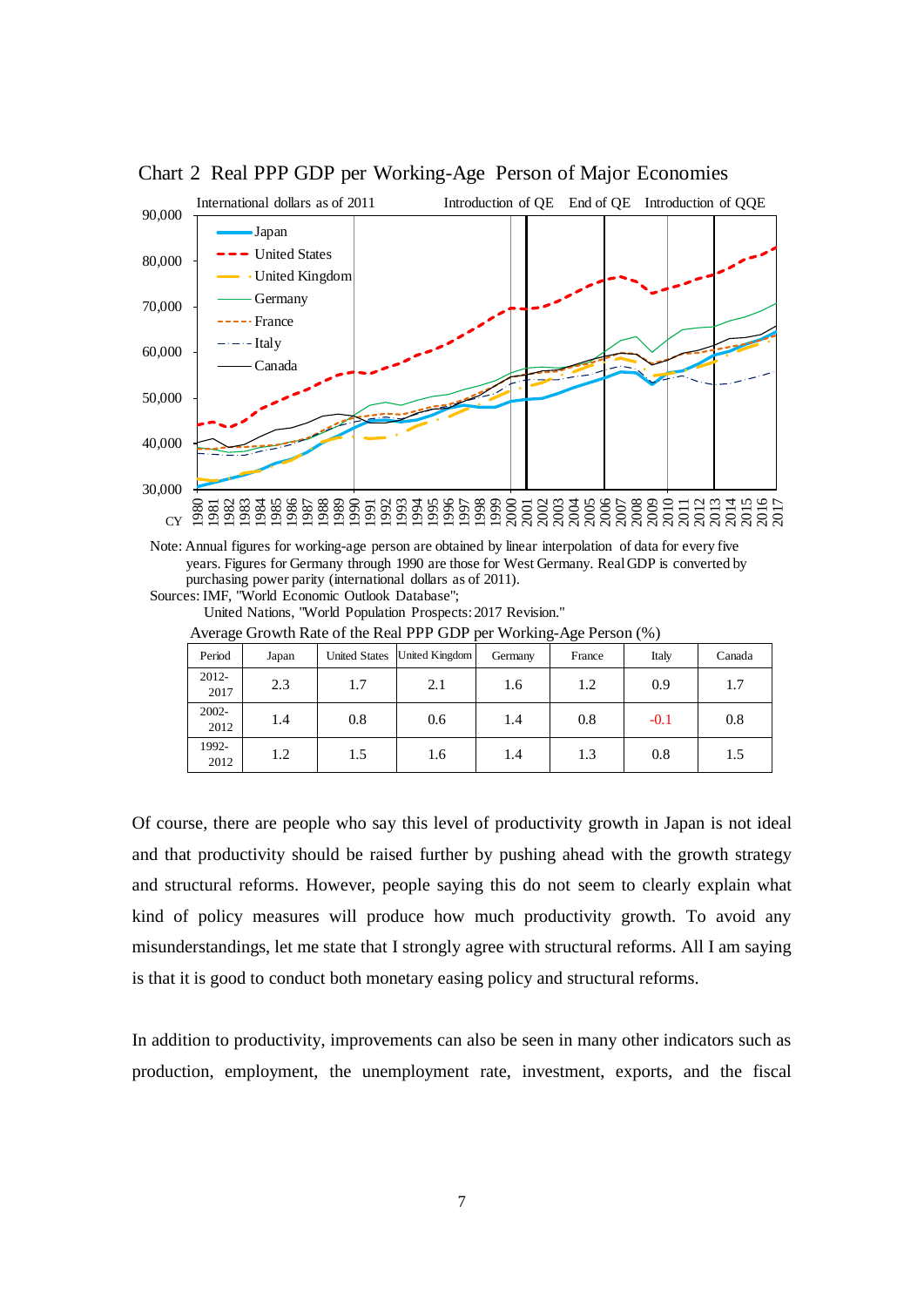

Chart 2 Real PPP GDP per Working-Age Person of Major Economies

Note: Annual figures for working-age person are obtained by linear interpolation of data for every five years. Figures for Germany through 1990 are those for West Germany. Real GDP is converted by purchasing power parity (international dollars as of 2011).

Sources: IMF, "World Economic Outlook Database";

United Nations, "World Population Prospects: 2017 Revision."

| Period           | Japan | <b>United States</b> | United Kingdom | Germany | France | Italy  | Canada |
|------------------|-------|----------------------|----------------|---------|--------|--------|--------|
| $2012 -$<br>2017 | 2.3   | 1.7                  | 2.1            | 1.6     | 1.2    | 0.9    | 1.7    |
| $2002 -$<br>2012 | 1.4   | 0.8                  | 0.6            | 1.4     | 0.8    | $-0.1$ | 0.8    |
| 1992-<br>2012    | 1.2   | 1.5                  | 1.6            | 1.4     | 1.3    | 0.8    | 1.5    |

Average Growth Rate of the Real PPP GDP per Working-Age Person (%)

Of course, there are people who say this level of productivity growth in Japan is not ideal and that productivity should be raised further by pushing ahead with the growth strategy and structural reforms. However, people saying this do not seem to clearly explain what kind of policy measures will produce how much productivity growth. To avoid any misunderstandings, let me state that I strongly agree with structural reforms. All I am saying is that it is good to conduct both monetary easing policy and structural reforms.

In addition to productivity, improvements can also be seen in many other indicators such as production, employment, the unemployment rate, investment, exports, and the fiscal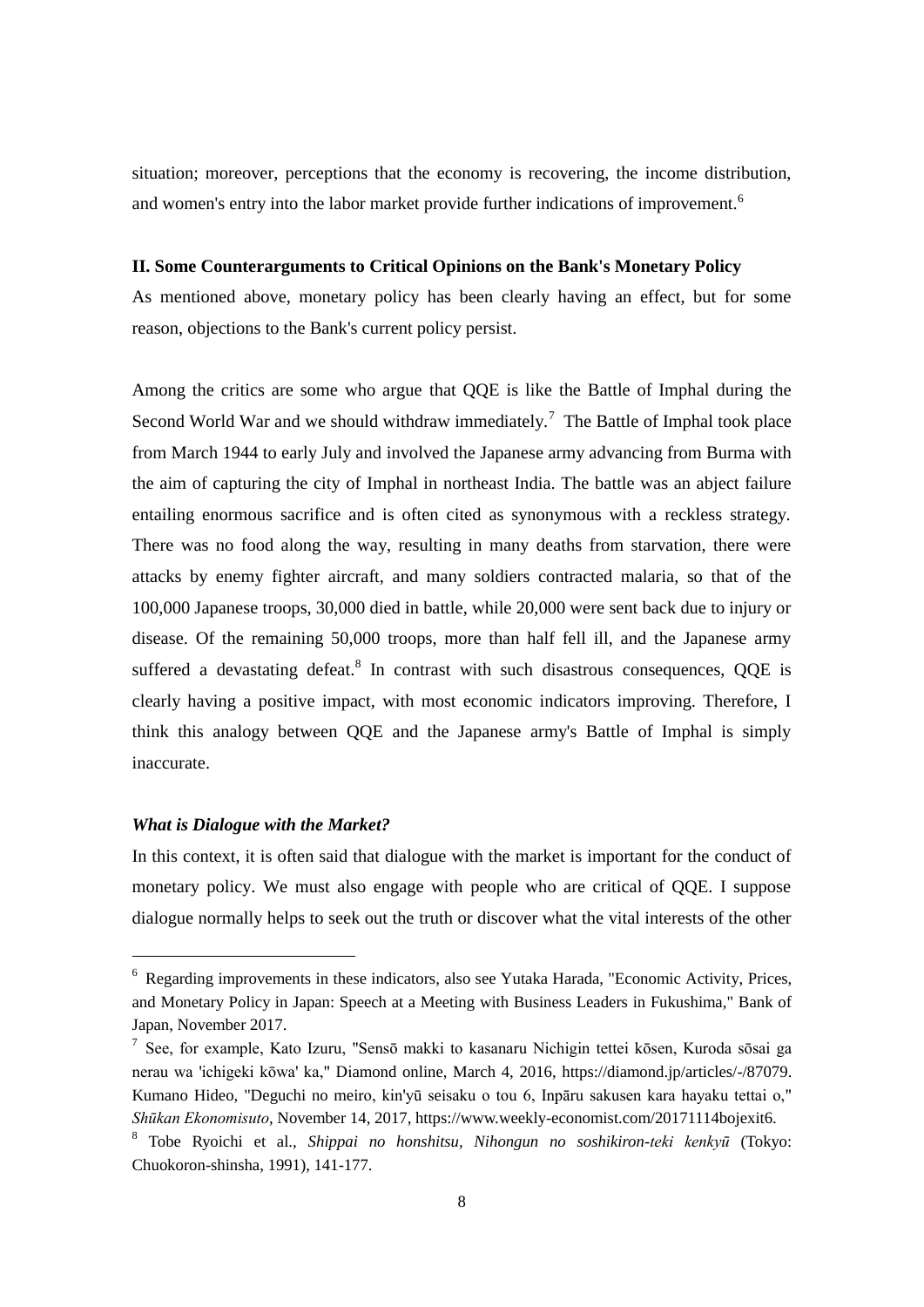situation; moreover, perceptions that the economy is recovering, the income distribution, and women's entry into the labor market provide further indications of improvement.<sup>6</sup>

# **II. Some Counterarguments to Critical Opinions on the Bank's Monetary Policy**

As mentioned above, monetary policy has been clearly having an effect, but for some reason, objections to the Bank's current policy persist.

Among the critics are some who argue that QQE is like the Battle of Imphal during the Second World War and we should withdraw immediately.<sup>7</sup> The Battle of Imphal took place from March 1944 to early July and involved the Japanese army advancing from Burma with the aim of capturing the city of Imphal in northeast India. The battle was an abject failure entailing enormous sacrifice and is often cited as synonymous with a reckless strategy. There was no food along the way, resulting in many deaths from starvation, there were attacks by enemy fighter aircraft, and many soldiers contracted malaria, so that of the 100,000 Japanese troops, 30,000 died in battle, while 20,000 were sent back due to injury or disease. Of the remaining 50,000 troops, more than half fell ill, and the Japanese army suffered a devastating defeat.<sup>8</sup> In contrast with such disastrous consequences, QQE is clearly having a positive impact, with most economic indicators improving. Therefore, I think this analogy between QQE and the Japanese army's Battle of Imphal is simply inaccurate.

# *What is Dialogue with the Market?*

1

In this context, it is often said that dialogue with the market is important for the conduct of monetary policy. We must also engage with people who are critical of QQE. I suppose dialogue normally helps to seek out the truth or discover what the vital interests of the other

<sup>6</sup> Regarding improvements in these indicators, also see Yutaka Harada, "Economic Activity, Prices, and Monetary Policy in Japan: Speech at a Meeting with Business Leaders in Fukushima," Bank of Japan, November 2017.

<sup>7</sup> See, for example, Kato Izuru, "Sensō makki to kasanaru Nichigin tettei kōsen, Kuroda sōsai ga nerau wa 'ichigeki kōwa' ka," Diamond online, March 4, 2016, https://diamond.jp/articles/-/87079. Kumano Hideo, "Deguchi no meiro, kin'yū seisaku o tou 6, Inpāru sakusen kara hayaku tettai o," *Shūkan Ekonomisuto*, November 14, 2017, https://www.weekly-economist.com/20171114bojexit6.

<sup>8</sup> Tobe Ryoichi et al., *Shippai no honshitsu, Nihongun no soshikiron-teki kenkyū* (Tokyo: Chuokoron-shinsha, 1991), 141-177.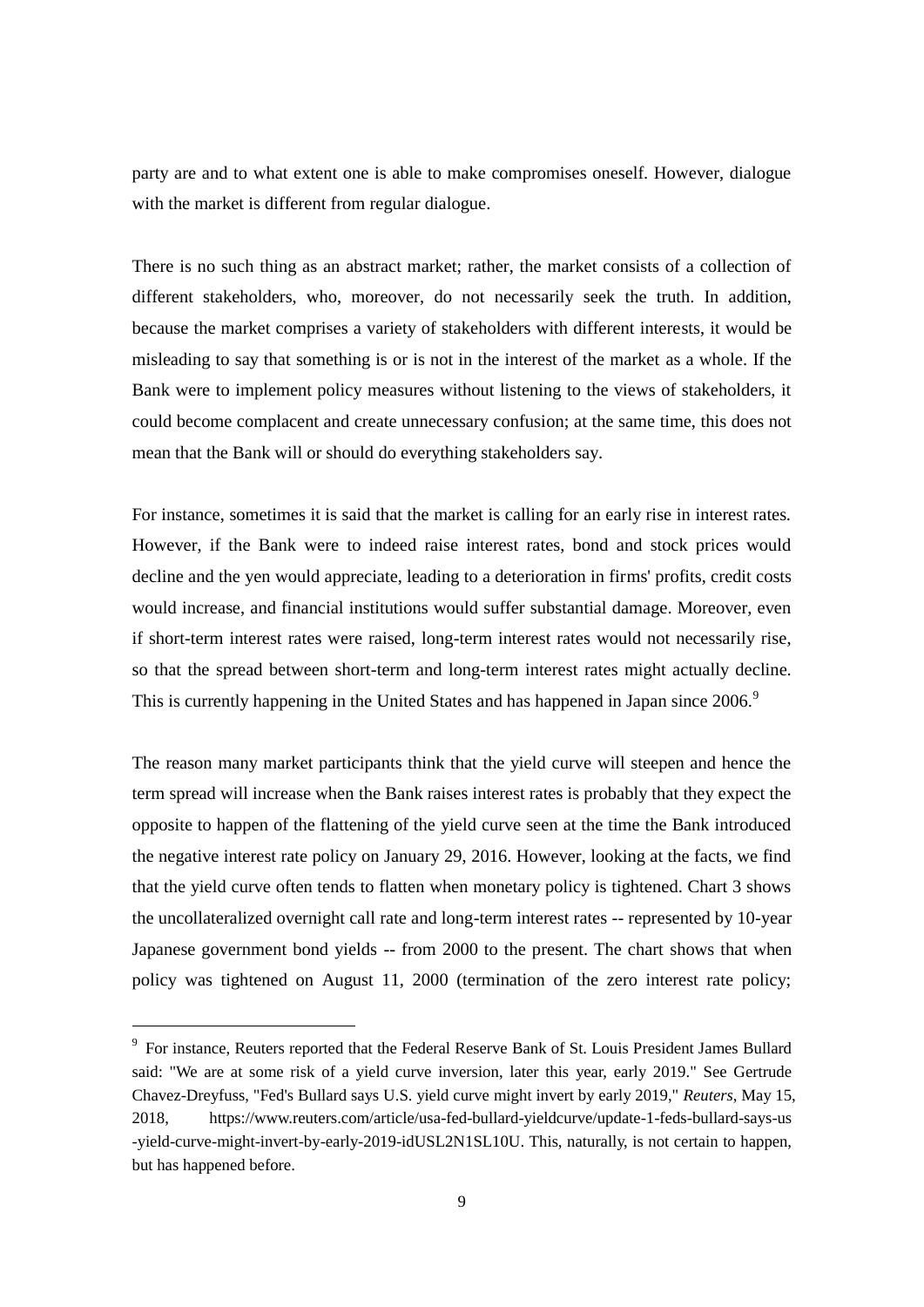party are and to what extent one is able to make compromises oneself. However, dialogue with the market is different from regular dialogue.

There is no such thing as an abstract market; rather, the market consists of a collection of different stakeholders, who, moreover, do not necessarily seek the truth. In addition, because the market comprises a variety of stakeholders with different interests, it would be misleading to say that something is or is not in the interest of the market as a whole. If the Bank were to implement policy measures without listening to the views of stakeholders, it could become complacent and create unnecessary confusion; at the same time, this does not mean that the Bank will or should do everything stakeholders say.

For instance, sometimes it is said that the market is calling for an early rise in interest rates. However, if the Bank were to indeed raise interest rates, bond and stock prices would decline and the yen would appreciate, leading to a deterioration in firms' profits, credit costs would increase, and financial institutions would suffer substantial damage. Moreover, even if short-term interest rates were raised, long-term interest rates would not necessarily rise, so that the spread between short-term and long-term interest rates might actually decline. This is currently happening in the United States and has happened in Japan since 2006.<sup>9</sup>

The reason many market participants think that the yield curve will steepen and hence the term spread will increase when the Bank raises interest rates is probably that they expect the opposite to happen of the flattening of the yield curve seen at the time the Bank introduced the negative interest rate policy on January 29, 2016. However, looking at the facts, we find that the yield curve often tends to flatten when monetary policy is tightened. Chart 3 shows the uncollateralized overnight call rate and long-term interest rates -- represented by 10-year Japanese government bond yields -- from 2000 to the present. The chart shows that when policy was tightened on August 11, 2000 (termination of the zero interest rate policy;

<sup>&</sup>lt;sup>9</sup> For instance, Reuters reported that the Federal Reserve Bank of St. Louis President James Bullard said: "We are at some risk of a yield curve inversion, later this year, early 2019." See Gertrude Chavez-Dreyfuss, "Fed's Bullard says U.S. yield curve might invert by early 2019," *Reuters*, May 15, 2018, [https://www.reuters.com/article/usa-fed-bullard-yieldcurve/update-1-feds-bullard-says-us](https://www.reuters.com/article/usa-fed-bullard-yieldcurve/update-1-feds-bullard-says-us%20-)  [-y](https://www.reuters.com/article/usa-fed-bullard-yieldcurve/update-1-feds-bullard-says-us%20-)ield-curve-might-invert-by-early-2019-idUSL2N1SL10U. This, naturally, is not certain to happen, but has happened before.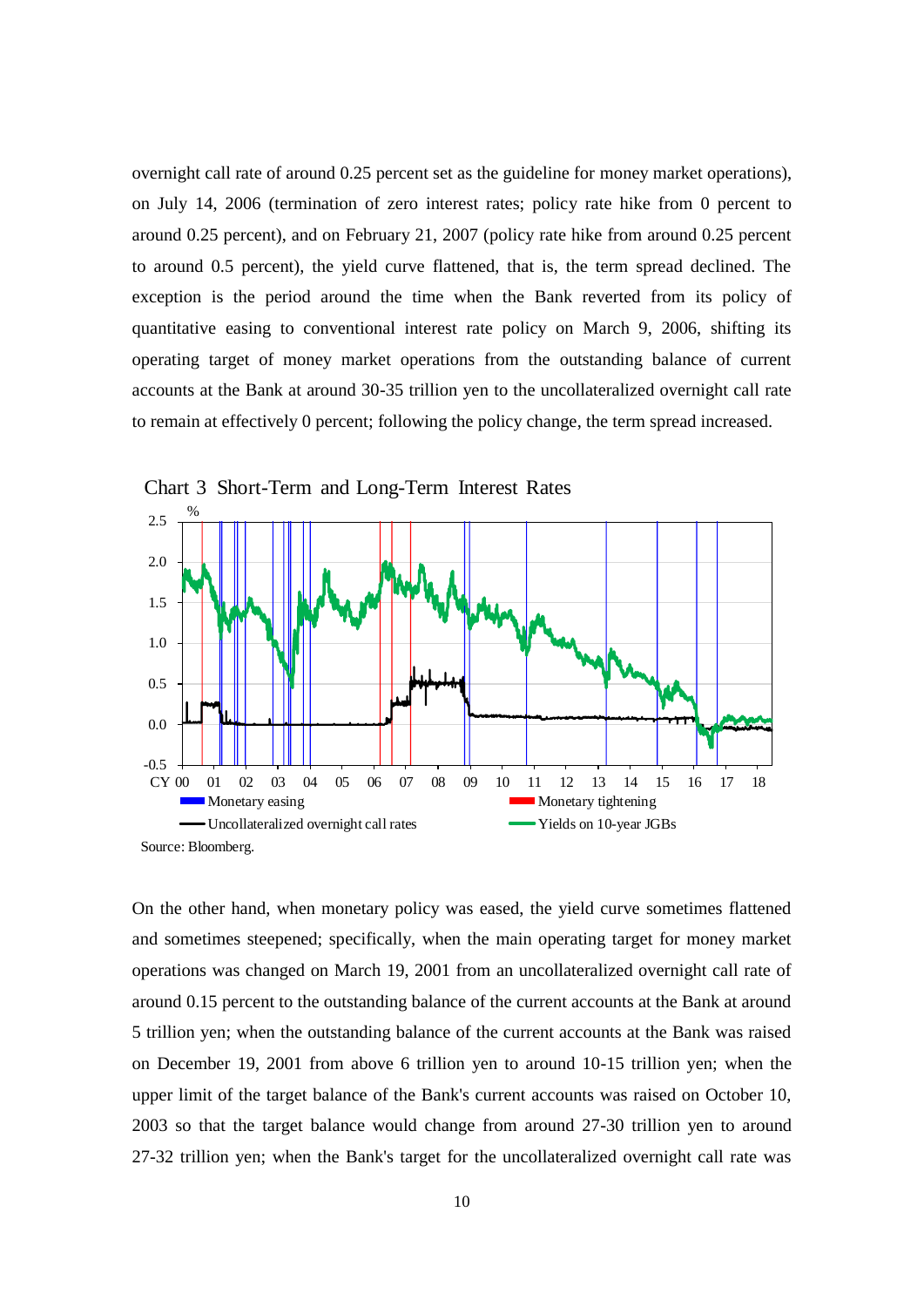overnight call rate of around 0.25 percent set as the guideline for money market operations), on July 14, 2006 (termination of zero interest rates; policy rate hike from 0 percent to around 0.25 percent), and on February 21, 2007 (policy rate hike from around 0.25 percent to around 0.5 percent), the yield curve flattened, that is, the term spread declined. The exception is the period around the time when the Bank reverted from its policy of quantitative easing to conventional interest rate policy on March 9, 2006, shifting its operating target of money market operations from the outstanding balance of current accounts at the Bank at around 30-35 trillion yen to the uncollateralized overnight call rate to remain at effectively 0 percent; following the policy change, the term spread increased.



Chart 3 Short-Term and Long-Term Interest Rates

On the other hand, when monetary policy was eased, the yield curve sometimes flattened and sometimes steepened; specifically, when the main operating target for money market operations was changed on March 19, 2001 from an uncollateralized overnight call rate of around 0.15 percent to the outstanding balance of the current accounts at the Bank at around 5 trillion yen; when the outstanding balance of the current accounts at the Bank was raised on December 19, 2001 from above 6 trillion yen to around 10-15 trillion yen; when the upper limit of the target balance of the Bank's current accounts was raised on October 10, 2003 so that the target balance would change from around 27-30 trillion yen to around 27-32 trillion yen; when the Bank's target for the uncollateralized overnight call rate was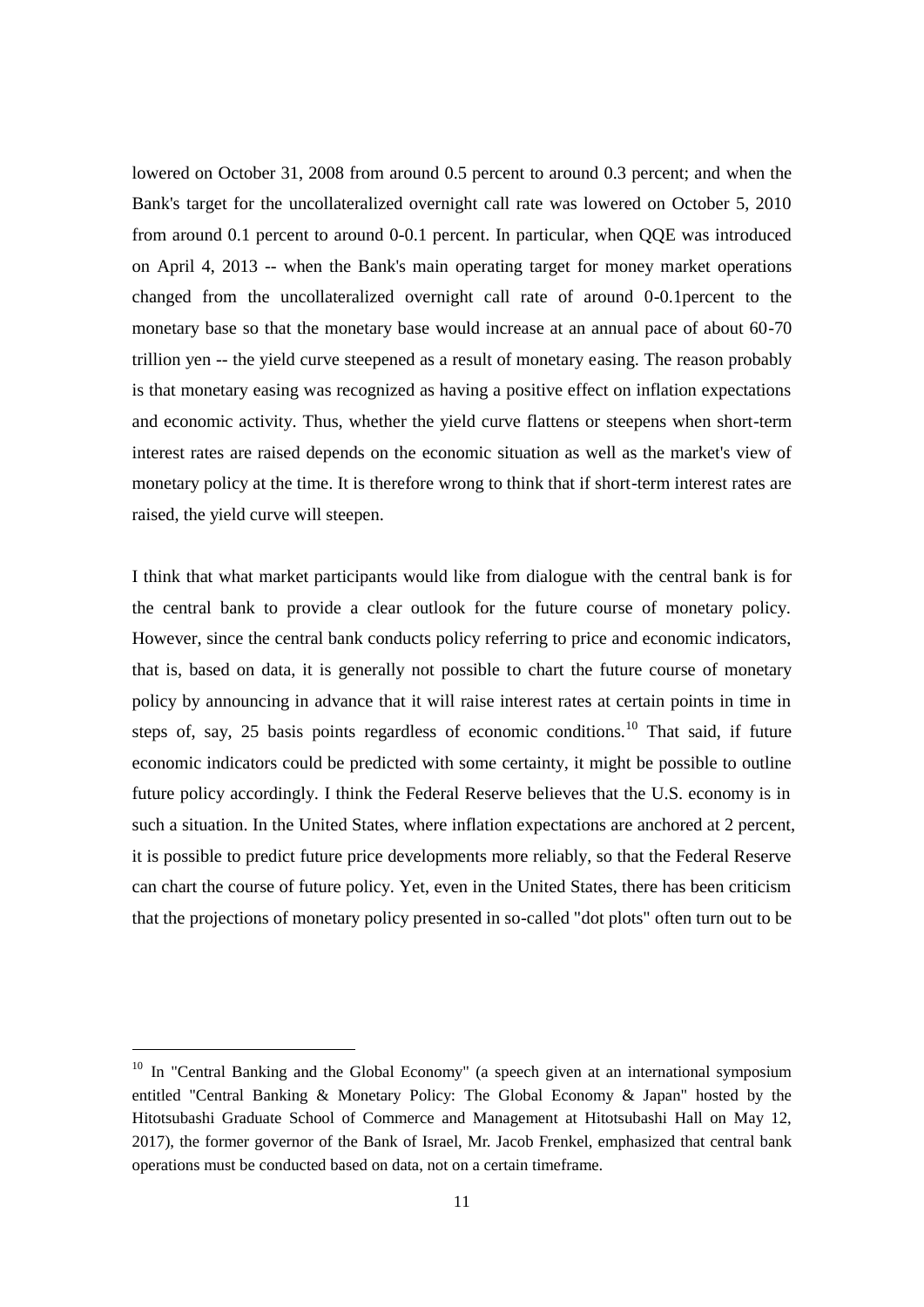lowered on October 31, 2008 from around 0.5 percent to around 0.3 percent; and when the Bank's target for the uncollateralized overnight call rate was lowered on October 5, 2010 from around 0.1 percent to around 0-0.1 percent. In particular, when QQE was introduced on April 4, 2013 -- when the Bank's main operating target for money market operations changed from the uncollateralized overnight call rate of around 0-0.1percent to the monetary base so that the monetary base would increase at an annual pace of about 60-70 trillion yen -- the yield curve steepened as a result of monetary easing. The reason probably is that monetary easing was recognized as having a positive effect on inflation expectations and economic activity. Thus, whether the yield curve flattens or steepens when short-term interest rates are raised depends on the economic situation as well as the market's view of monetary policy at the time. It is therefore wrong to think that if short-term interest rates are raised, the yield curve will steepen.

I think that what market participants would like from dialogue with the central bank is for the central bank to provide a clear outlook for the future course of monetary policy. However, since the central bank conducts policy referring to price and economic indicators, that is, based on data, it is generally not possible to chart the future course of monetary policy by announcing in advance that it will raise interest rates at certain points in time in steps of, say, 25 basis points regardless of economic conditions.<sup>10</sup> That said, if future economic indicators could be predicted with some certainty, it might be possible to outline future policy accordingly. I think the Federal Reserve believes that the U.S. economy is in such a situation. In the United States, where inflation expectations are anchored at 2 percent, it is possible to predict future price developments more reliably, so that the Federal Reserve can chart the course of future policy. Yet, even in the United States, there has been criticism that the projections of monetary policy presented in so-called "dot plots" often turn out to be

<sup>&</sup>lt;sup>10</sup> In "Central Banking and the Global Economy" (a speech given at an international symposium entitled "Central Banking & Monetary Policy: The Global Economy & Japan" hosted by the Hitotsubashi Graduate School of Commerce and Management at Hitotsubashi Hall on May 12, 2017), the former governor of the Bank of Israel, Mr. Jacob Frenkel, emphasized that central bank operations must be conducted based on data, not on a certain timeframe.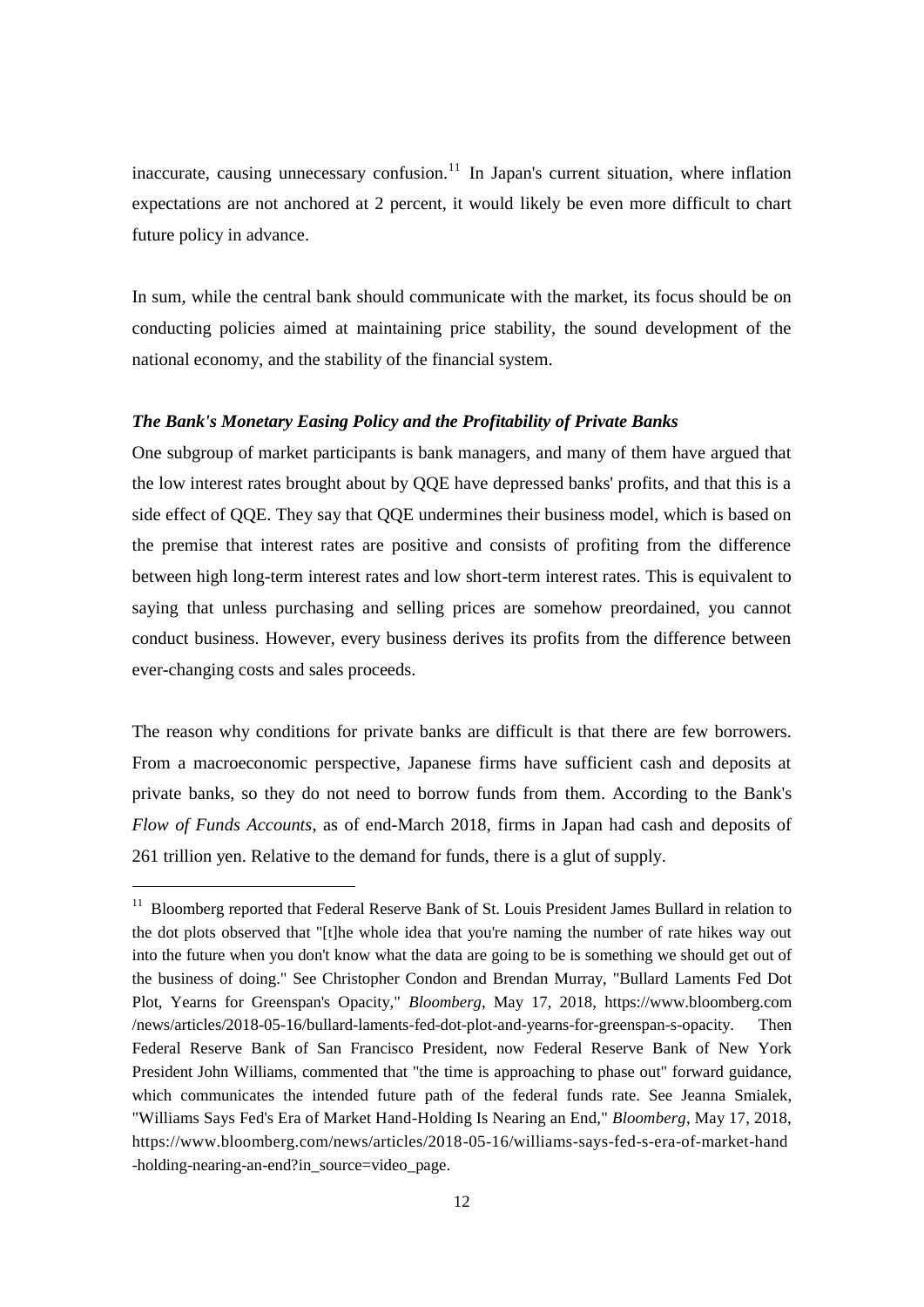inaccurate, causing unnecessary confusion.<sup>11</sup> In Japan's current situation, where inflation expectations are not anchored at 2 percent, it would likely be even more difficult to chart future policy in advance.

In sum, while the central bank should communicate with the market, its focus should be on conducting policies aimed at maintaining price stability, the sound development of the national economy, and the stability of the financial system.

# *The Bank's Monetary Easing Policy and the Profitability of Private Banks*

One subgroup of market participants is bank managers, and many of them have argued that the low interest rates brought about by QQE have depressed banks' profits, and that this is a side effect of QQE. They say that QQE undermines their business model, which is based on the premise that interest rates are positive and consists of profiting from the difference between high long-term interest rates and low short-term interest rates. This is equivalent to saying that unless purchasing and selling prices are somehow preordained, you cannot conduct business. However, every business derives its profits from the difference between ever-changing costs and sales proceeds.

The reason why conditions for private banks are difficult is that there are few borrowers. From a macroeconomic perspective, Japanese firms have sufficient cash and deposits at private banks, so they do not need to borrow funds from them. According to the Bank's *Flow of Funds Accounts*, as of end-March 2018, firms in Japan had cash and deposits of 261 trillion yen. Relative to the demand for funds, there is a glut of supply.

<sup>&</sup>lt;sup>11</sup> Bloomberg reported that Federal Reserve Bank of St. Louis President James Bullard in relation to the dot plots observed that "[t]he whole idea that you're naming the number of rate hikes way out into the future when you don't know what the data are going to be is something we should get out of the business of doing." See Christopher Condon and Brendan Murray, "Bullard Laments Fed Dot Plot, Yearns for Greenspan's Opacity," *Bloomberg*, May 17, 2018, https://www.bloomberg.com /news/articles/2018-05-16/bullard-laments-fed-dot-plot-and-yearns-for-greenspan-s-opacity. Then Federal Reserve Bank of San Francisco President, now Federal Reserve Bank of New York President John Williams, commented that "the time is approaching to phase out" forward guidance, which communicates the intended future path of the federal funds rate. See Jeanna Smialek, "Williams Says Fed's Era of Market Hand-Holding Is Nearing an End," *Bloomberg*, May 17, 2018, https://www.bloomberg.com/news/articles/2018-05-16/williams-says-fed-s-era-of-market-hand -holding-nearing-an-end?in\_source=video\_page.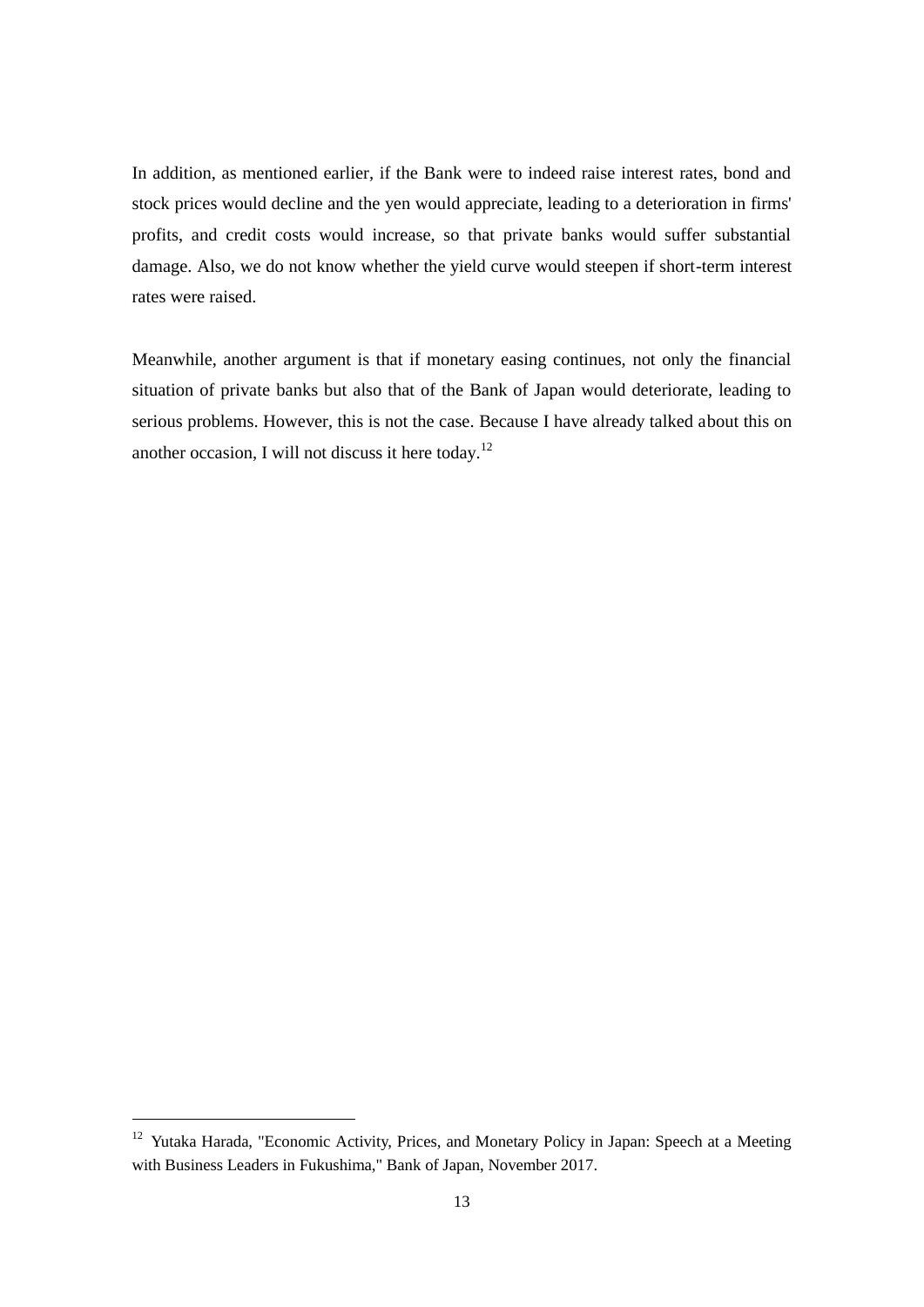In addition, as mentioned earlier, if the Bank were to indeed raise interest rates, bond and stock prices would decline and the yen would appreciate, leading to a deterioration in firms' profits, and credit costs would increase, so that private banks would suffer substantial damage. Also, we do not know whether the yield curve would steepen if short-term interest rates were raised.

Meanwhile, another argument is that if monetary easing continues, not only the financial situation of private banks but also that of the Bank of Japan would deteriorate, leading to serious problems. However, this is not the case. Because I have already talked about this on another occasion, I will not discuss it here today.<sup>12</sup>

<sup>&</sup>lt;sup>12</sup> Yutaka Harada, "Economic Activity, Prices, and Monetary Policy in Japan: Speech at a Meeting with Business Leaders in Fukushima," Bank of Japan, November 2017.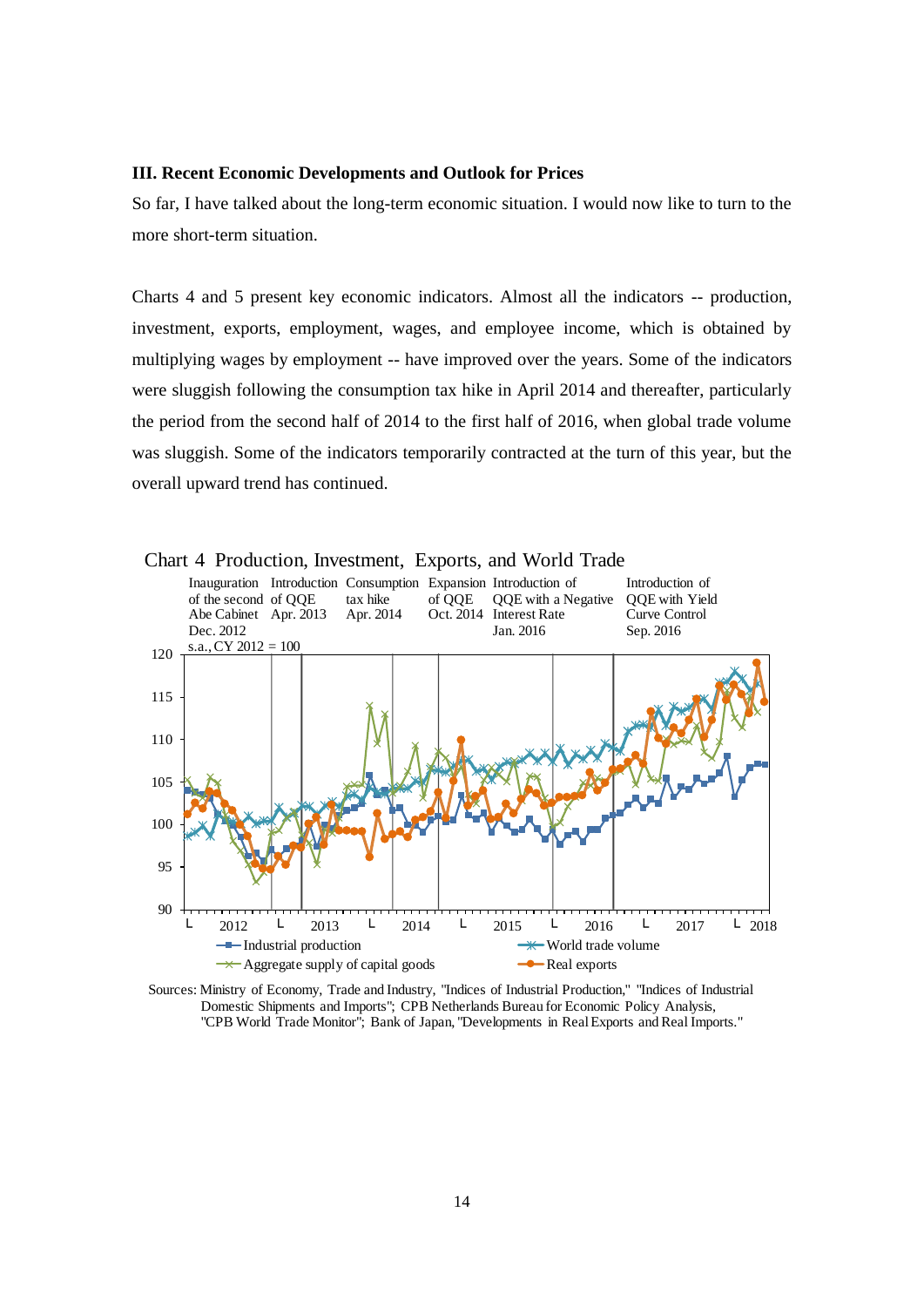#### **III. Recent Economic Developments and Outlook for Prices**

So far, I have talked about the long-term economic situation. I would now like to turn to the more short-term situation.

Charts 4 and 5 present key economic indicators. Almost all the indicators -- production, investment, exports, employment, wages, and employee income, which is obtained by multiplying wages by employment -- have improved over the years. Some of the indicators were sluggish following the consumption tax hike in April 2014 and thereafter, particularly the period from the second half of 2014 to the first half of 2016, when global trade volume was sluggish. Some of the indicators temporarily contracted at the turn of this year, but the overall upward trend has continued.



Chart 4 Production, Investment, Exports, and World Trade

Sources: Ministry of Economy, Trade and Industry, "Indices of Industrial Production," "Indices of Industrial Domestic Shipments and Imports"; CPB Netherlands Bureau for Economic Policy Analysis, "CPB World Trade Monitor"; Bank of Japan, "Developments in Real Exports and Real Imports."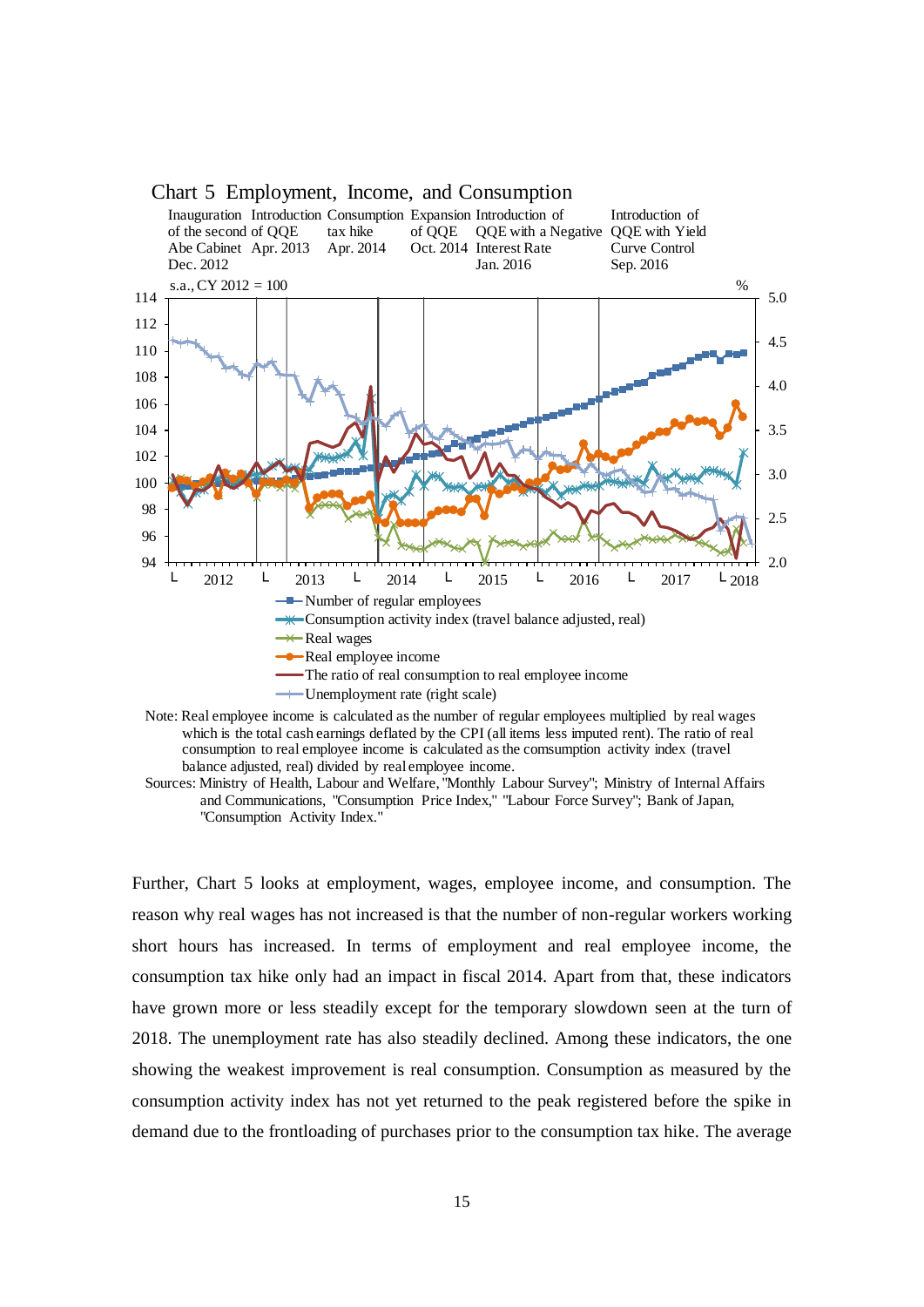

#### Chart 5 Employment, Income, and Consumption

Note: Real employee income is calculated as the number of regular employees multiplied by real wages which is the total cash earnings deflated by the CPI (all items less imputed rent). The ratio of real consumption to real employee income is calculated as the comsumption activity index (travel balance adjusted, real) divided by real employee income.

Sources: Ministry of Health, Labour and Welfare, "Monthly Labour Survey"; Ministry of Internal Affairs and Communications, "Consumption Price Index," "Labour Force Survey"; Bank of Japan, "Consumption Activity Index."

Further, Chart 5 looks at employment, wages, employee income, and consumption. The reason why real wages has not increased is that the number of non-regular workers working short hours has increased. In terms of employment and real employee income, the consumption tax hike only had an impact in fiscal 2014. Apart from that, these indicators have grown more or less steadily except for the temporary slowdown seen at the turn of 2018. The unemployment rate has also steadily declined. Among these indicators, the one showing the weakest improvement is real consumption. Consumption as measured by the consumption activity index has not yet returned to the peak registered before the spike in demand due to the frontloading of purchases prior to the consumption tax hike. The average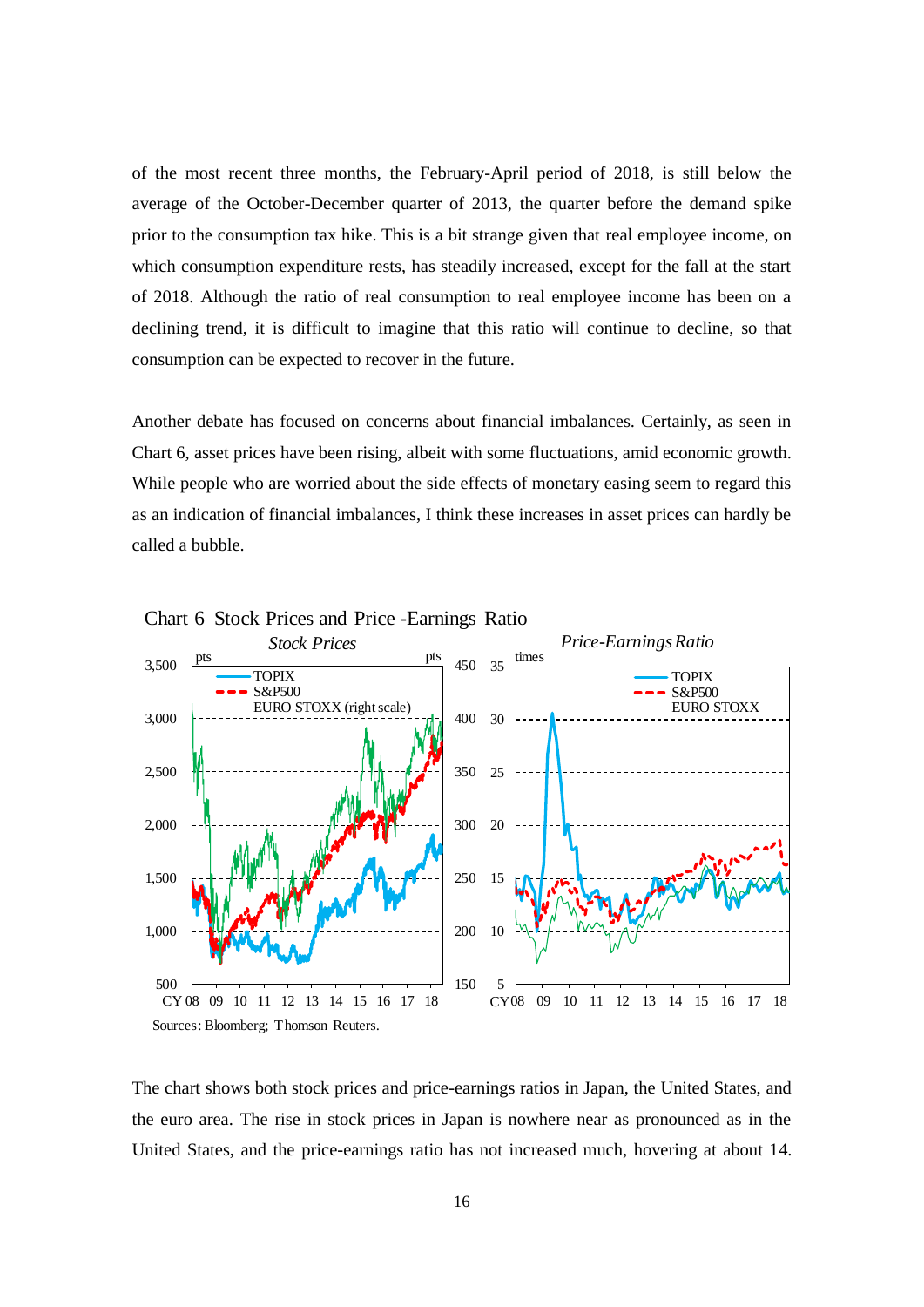of the most recent three months, the February-April period of 2018, is still below the average of the October-December quarter of 2013, the quarter before the demand spike prior to the consumption tax hike. This is a bit strange given that real employee income, on which consumption expenditure rests, has steadily increased, except for the fall at the start of 2018. Although the ratio of real consumption to real employee income has been on a declining trend, it is difficult to imagine that this ratio will continue to decline, so that consumption can be expected to recover in the future.

Another debate has focused on concerns about financial imbalances. Certainly, as seen in Chart 6, asset prices have been rising, albeit with some fluctuations, amid economic growth. While people who are worried about the side effects of monetary easing seem to regard this as an indication of financial imbalances, I think these increases in asset prices can hardly be called a bubble.



Chart 6 Stock Prices and Price -Earnings Ratio

The chart shows both stock prices and price-earnings ratios in Japan, the United States, and the euro area. The rise in stock prices in Japan is nowhere near as pronounced as in the United States, and the price-earnings ratio has not increased much, hovering at about 14.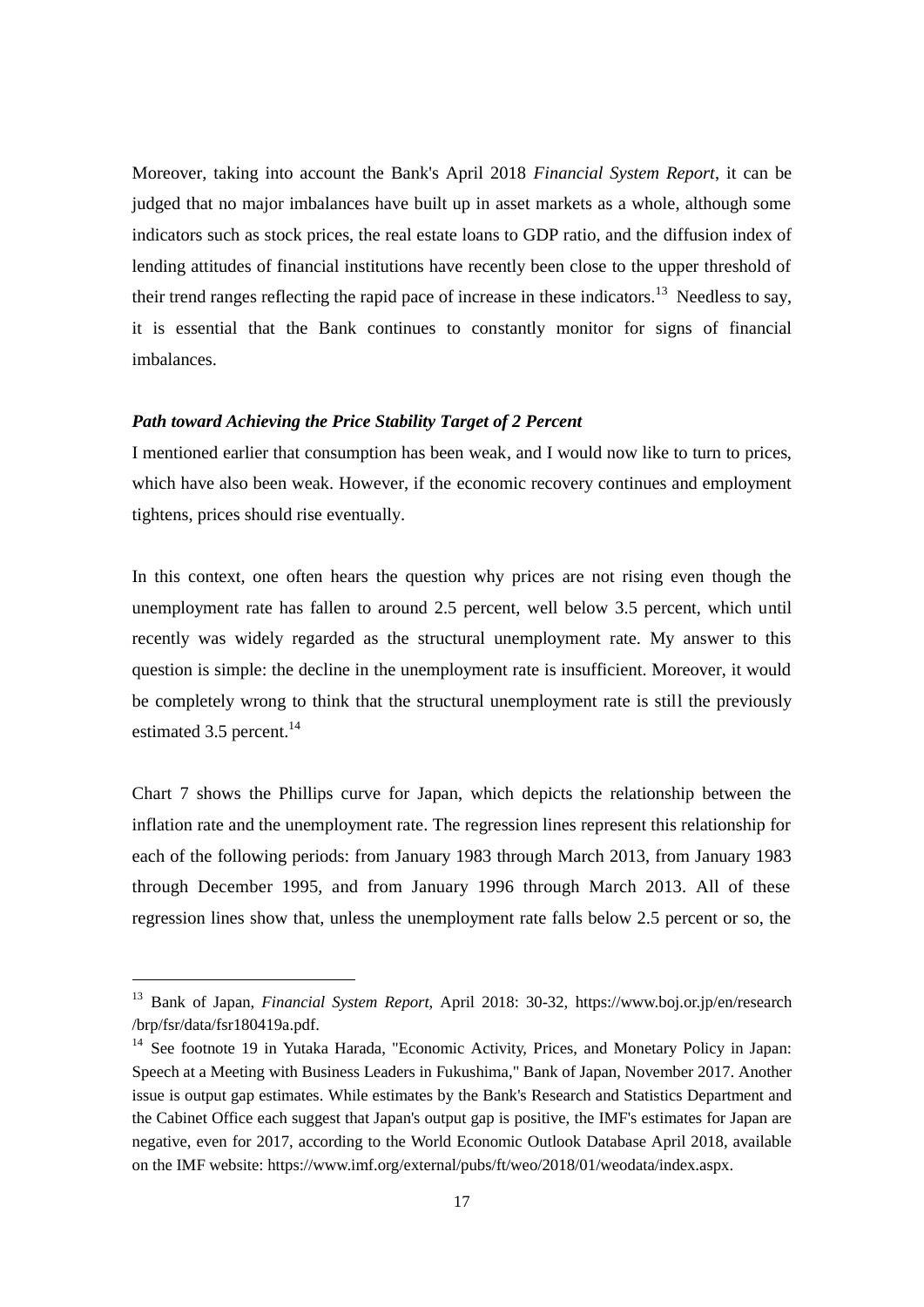Moreover, taking into account the Bank's April 2018 *Financial System Report*, it can be judged that no major imbalances have built up in asset markets as a whole, although some indicators such as stock prices, the real estate loans to GDP ratio, and the diffusion index of lending attitudes of financial institutions have recently been close to the upper threshold of their trend ranges reflecting the rapid pace of increase in these indicators.<sup>13</sup> Needless to say, it is essential that the Bank continues to constantly monitor for signs of financial imbalances.

# *Path toward Achieving the Price Stability Target of 2 Percent*

1

I mentioned earlier that consumption has been weak, and I would now like to turn to prices, which have also been weak. However, if the economic recovery continues and employment tightens, prices should rise eventually.

In this context, one often hears the question why prices are not rising even though the unemployment rate has fallen to around 2.5 percent, well below 3.5 percent, which until recently was widely regarded as the structural unemployment rate. My answer to this question is simple: the decline in the unemployment rate is insufficient. Moreover, it would be completely wrong to think that the structural unemployment rate is still the previously estimated  $3.5$  percent.<sup>14</sup>

Chart 7 shows the Phillips curve for Japan, which depicts the relationship between the inflation rate and the unemployment rate. The regression lines represent this relationship for each of the following periods: from January 1983 through March 2013, from January 1983 through December 1995, and from January 1996 through March 2013. All of these regression lines show that, unless the unemployment rate falls below 2.5 percent or so, the

<sup>13</sup> Bank of Japan, *Financial System Report*, April 2018: 30-32, [https://www.boj.or.jp/en/research](https://www.boj.or.jp/en/research%20/)  [/b](https://www.boj.or.jp/en/research%20/)rp/fsr/data/fsr180419a.pdf.

<sup>&</sup>lt;sup>14</sup> See footnote 19 in Yutaka Harada, "Economic Activity, Prices, and Monetary Policy in Japan: Speech at a Meeting with Business Leaders in Fukushima," Bank of Japan, November 2017. Another issue is output gap estimates. While estimates by the Bank's Research and Statistics Department and the Cabinet Office each suggest that Japan's output gap is positive, the IMF's estimates for Japan are negative, even for 2017, according to the World Economic Outlook Database April 2018, available on the IMF website: [https://www.imf.org/external/pubs/ft/weo/2018/01/](https://www.imf.org/external/pubs/ft/weo/2018/01)weodata/index.aspx.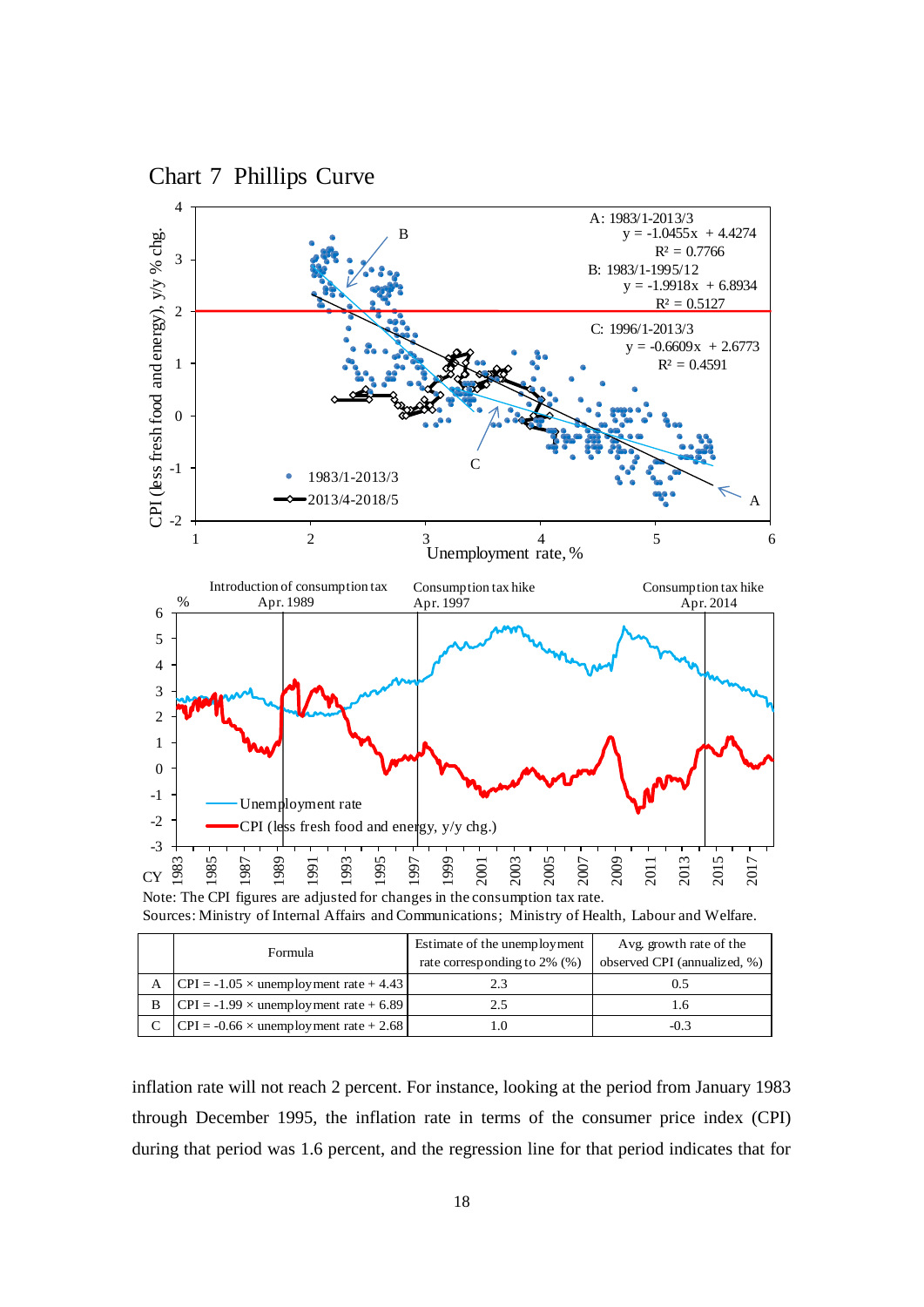

# Chart 7 Phillips Curve

Sources: Ministry of Internal Affairs and Communications; Ministry of Health, Labour and Welfare.

|   | Formula                                        | Estimate of the unemployment<br>rate corresponding to 2% (%) | Avg. growth rate of the<br>observed CPI (annualized, %) |  |
|---|------------------------------------------------|--------------------------------------------------------------|---------------------------------------------------------|--|
| A | $ CPI = -1.05 \times$ unemployment rate + 4.43 | 2.3                                                          |                                                         |  |
| B | $ CPI = -1.99 \times$ unemployment rate + 6.89 | 2.5                                                          |                                                         |  |
|   | $ CPI = -0.66 \times$ unemployment rate + 2.68 |                                                              | $-0.3$                                                  |  |

inflation rate will not reach 2 percent. For instance, looking at the period from January 1983 through December 1995, the inflation rate in terms of the consumer price index (CPI) during that period was 1.6 percent, and the regression line for that period indicates that for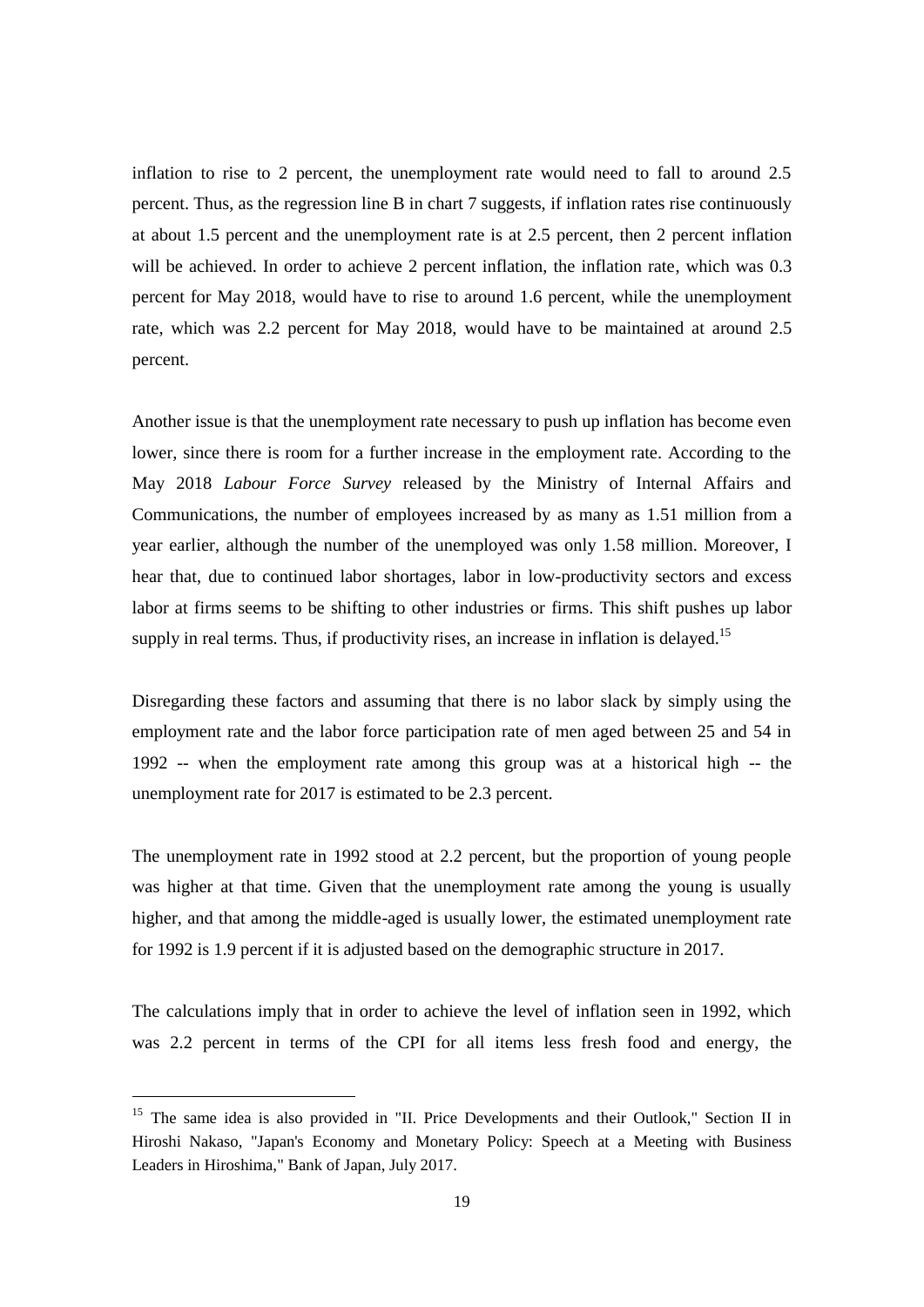inflation to rise to 2 percent, the unemployment rate would need to fall to around 2.5 percent. Thus, as the regression line B in chart 7 suggests, if inflation rates rise continuously at about 1.5 percent and the unemployment rate is at 2.5 percent, then 2 percent inflation will be achieved. In order to achieve 2 percent inflation, the inflation rate, which was 0.3 percent for May 2018, would have to rise to around 1.6 percent, while the unemployment rate, which was 2.2 percent for May 2018, would have to be maintained at around 2.5 percent.

Another issue is that the unemployment rate necessary to push up inflation has become even lower, since there is room for a further increase in the employment rate. According to the May 2018 *Labour Force Survey* released by the Ministry of Internal Affairs and Communications, the number of employees increased by as many as 1.51 million from a year earlier, although the number of the unemployed was only 1.58 million. Moreover, I hear that, due to continued labor shortages, labor in low-productivity sectors and excess labor at firms seems to be shifting to other industries or firms. This shift pushes up labor supply in real terms. Thus, if productivity rises, an increase in inflation is delayed.<sup>15</sup>

Disregarding these factors and assuming that there is no labor slack by simply using the employment rate and the labor force participation rate of men aged between 25 and 54 in 1992 -- when the employment rate among this group was at a historical high -- the unemployment rate for 2017 is estimated to be 2.3 percent.

The unemployment rate in 1992 stood at 2.2 percent, but the proportion of young people was higher at that time. Given that the unemployment rate among the young is usually higher, and that among the middle-aged is usually lower, the estimated unemployment rate for 1992 is 1.9 percent if it is adjusted based on the demographic structure in 2017.

The calculations imply that in order to achieve the level of inflation seen in 1992, which was 2.2 percent in terms of the CPI for all items less fresh food and energy, the

<sup>&</sup>lt;sup>15</sup> The same idea is also provided in "II. Price Developments and their Outlook," Section II in Hiroshi Nakaso, "Japan's Economy and Monetary Policy: Speech at a Meeting with Business Leaders in Hiroshima," Bank of Japan, July 2017.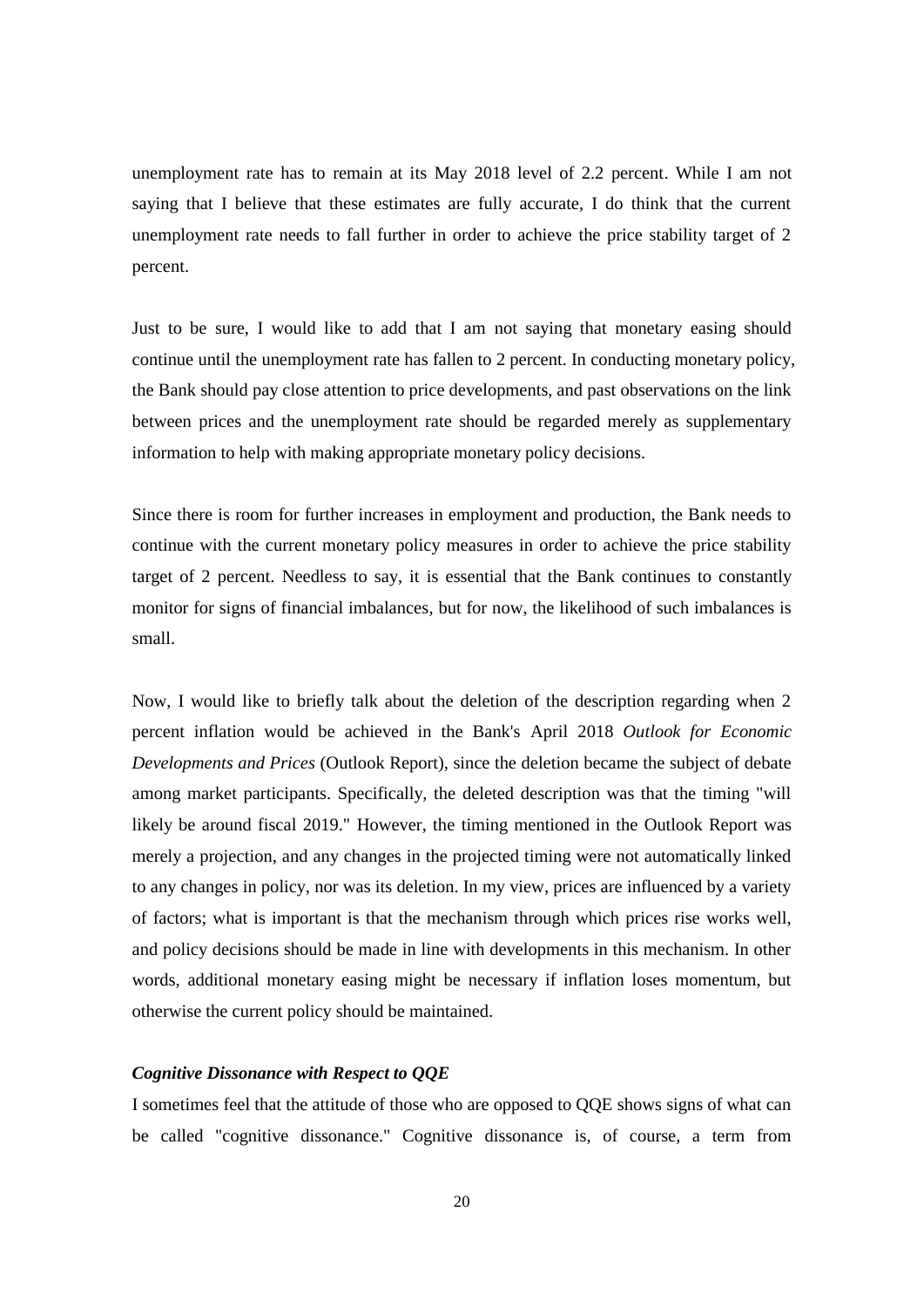unemployment rate has to remain at its May 2018 level of 2.2 percent. While I am not saying that I believe that these estimates are fully accurate, I do think that the current unemployment rate needs to fall further in order to achieve the price stability target of 2 percent.

Just to be sure, I would like to add that I am not saying that monetary easing should continue until the unemployment rate has fallen to 2 percent. In conducting monetary policy, the Bank should pay close attention to price developments, and past observations on the link between prices and the unemployment rate should be regarded merely as supplementary information to help with making appropriate monetary policy decisions.

Since there is room for further increases in employment and production, the Bank needs to continue with the current monetary policy measures in order to achieve the price stability target of 2 percent. Needless to say, it is essential that the Bank continues to constantly monitor for signs of financial imbalances, but for now, the likelihood of such imbalances is small.

Now, I would like to briefly talk about the deletion of the description regarding when 2 percent inflation would be achieved in the Bank's April 2018 *Outlook for Economic Developments and Prices* (Outlook Report), since the deletion became the subject of debate among market participants. Specifically, the deleted description was that the timing "will likely be around fiscal 2019." However, the timing mentioned in the Outlook Report was merely a projection, and any changes in the projected timing were not automatically linked to any changes in policy, nor was its deletion. In my view, prices are influenced by a variety of factors; what is important is that the mechanism through which prices rise works well, and policy decisions should be made in line with developments in this mechanism. In other words, additional monetary easing might be necessary if inflation loses momentum, but otherwise the current policy should be maintained.

# *Cognitive Dissonance with Respect to QQE*

I sometimes feel that the attitude of those who are opposed to QQE shows signs of what can be called "cognitive dissonance." Cognitive dissonance is, of course, a term from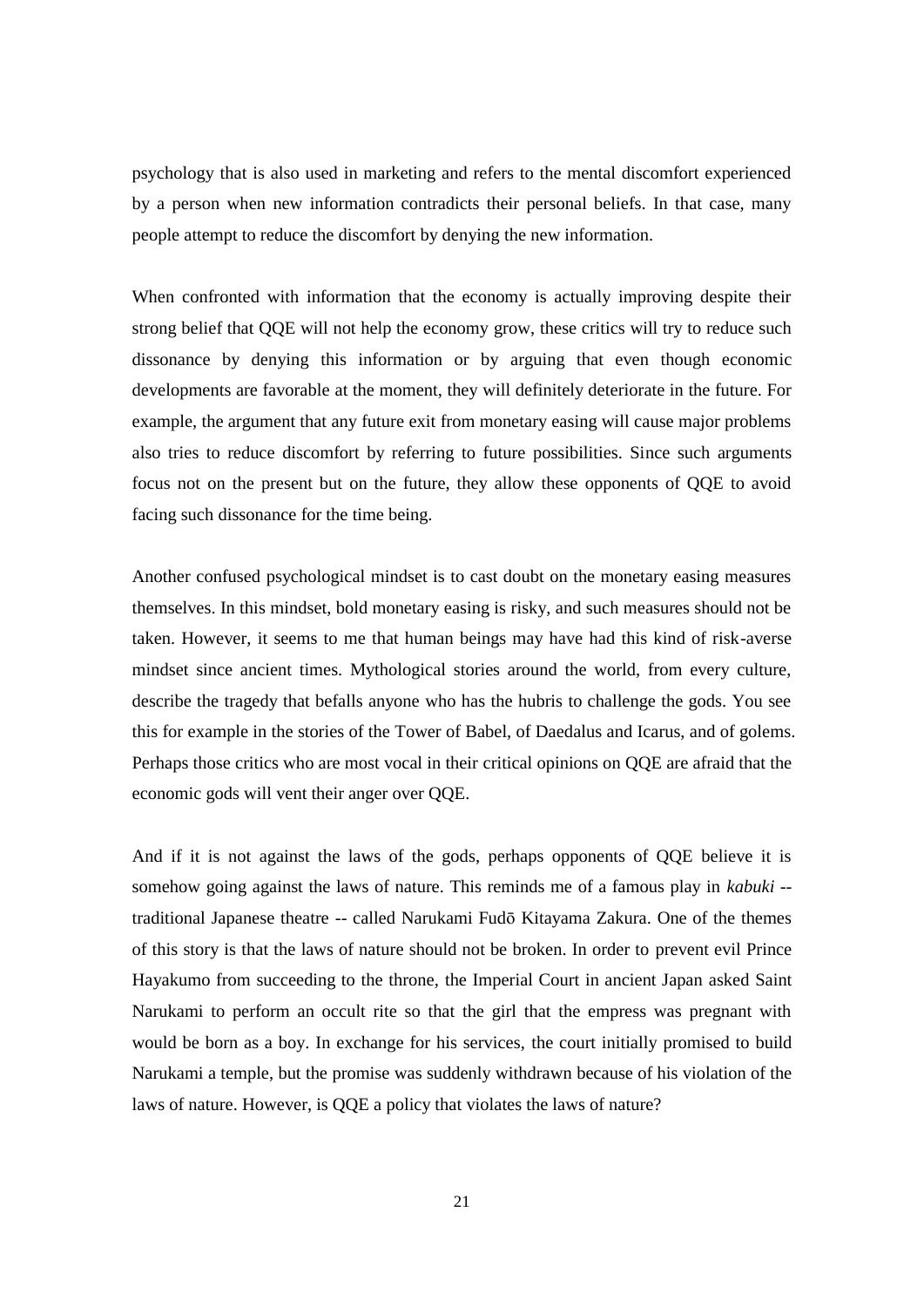psychology that is also used in marketing and refers to the mental discomfort experienced by a person when new information contradicts their personal beliefs. In that case, many people attempt to reduce the discomfort by denying the new information.

When confronted with information that the economy is actually improving despite their strong belief that QQE will not help the economy grow, these critics will try to reduce such dissonance by denying this information or by arguing that even though economic developments are favorable at the moment, they will definitely deteriorate in the future. For example, the argument that any future exit from monetary easing will cause major problems also tries to reduce discomfort by referring to future possibilities. Since such arguments focus not on the present but on the future, they allow these opponents of QQE to avoid facing such dissonance for the time being.

Another confused psychological mindset is to cast doubt on the monetary easing measures themselves. In this mindset, bold monetary easing is risky, and such measures should not be taken. However, it seems to me that human beings may have had this kind of risk-averse mindset since ancient times. Mythological stories around the world, from every culture, describe the tragedy that befalls anyone who has the hubris to challenge the gods. You see this for example in the stories of the Tower of Babel, of Daedalus and Icarus, and of golems. Perhaps those critics who are most vocal in their critical opinions on QQE are afraid that the economic gods will vent their anger over QQE.

And if it is not against the laws of the gods, perhaps opponents of QQE believe it is somehow going against the laws of nature. This reminds me of a famous play in *kabuki* - traditional Japanese theatre -- called Narukami Fudō Kitayama Zakura. One of the themes of this story is that the laws of nature should not be broken. In order to prevent evil Prince Hayakumo from succeeding to the throne, the Imperial Court in ancient Japan asked Saint Narukami to perform an occult rite so that the girl that the empress was pregnant with would be born as a boy. In exchange for his services, the court initially promised to build Narukami a temple, but the promise was suddenly withdrawn because of his violation of the laws of nature. However, is QQE a policy that violates the laws of nature?